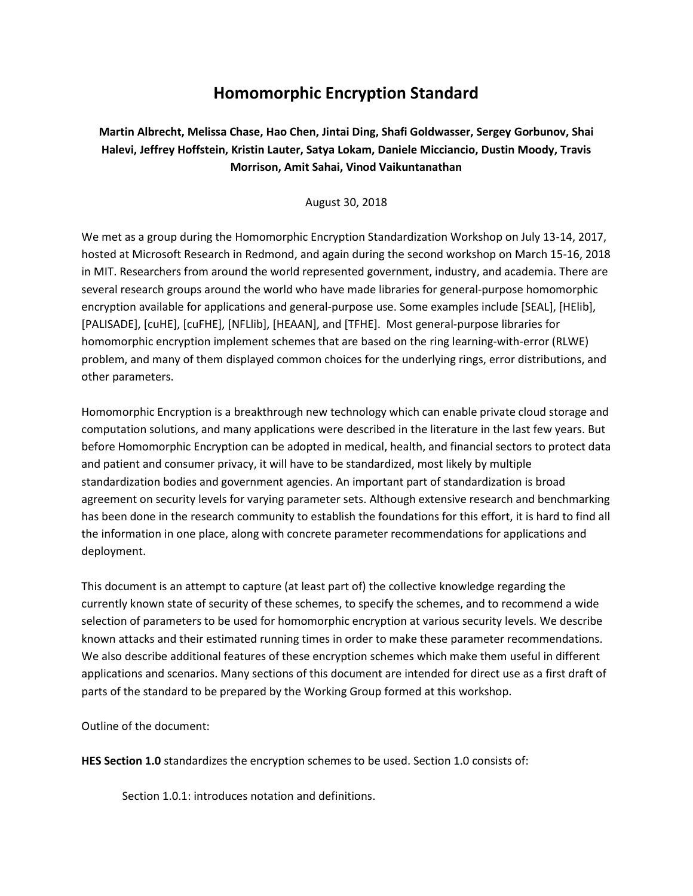# **Homomorphic Encryption Standard**

**Martin Albrecht, Melissa Chase, Hao Chen, Jintai Ding, Shafi Goldwasser, Sergey Gorbunov, Shai Halevi, Jeffrey Hoffstein, Kristin Lauter, Satya Lokam, Daniele Micciancio, Dustin Moody, Travis Morrison, Amit Sahai, Vinod Vaikuntanathan**

August 30, 2018

We met as a group during the Homomorphic Encryption Standardization Workshop on July 13-14, 2017, hosted at Microsoft Research in Redmond, and again during the second workshop on March 15-16, 2018 in MIT. Researchers from around the world represented government, industry, and academia. There are several research groups around the world who have made libraries for general-purpose homomorphic encryption available for applications and general-purpose use. Some examples include [SEAL], [HElib], [PALISADE], [cuHE], [cuFHE], [NFLlib], [HEAAN], and [TFHE]. Most general-purpose libraries for homomorphic encryption implement schemes that are based on the ring learning-with-error (RLWE) problem, and many of them displayed common choices for the underlying rings, error distributions, and other parameters.

Homomorphic Encryption is a breakthrough new technology which can enable private cloud storage and computation solutions, and many applications were described in the literature in the last few years. But before Homomorphic Encryption can be adopted in medical, health, and financial sectors to protect data and patient and consumer privacy, it will have to be standardized, most likely by multiple standardization bodies and government agencies. An important part of standardization is broad agreement on security levels for varying parameter sets. Although extensive research and benchmarking has been done in the research community to establish the foundations for this effort, it is hard to find all the information in one place, along with concrete parameter recommendations for applications and deployment.

This document is an attempt to capture (at least part of) the collective knowledge regarding the currently known state of security of these schemes, to specify the schemes, and to recommend a wide selection of parameters to be used for homomorphic encryption at various security levels. We describe known attacks and their estimated running times in order to make these parameter recommendations. We also describe additional features of these encryption schemes which make them useful in different applications and scenarios. Many sections of this document are intended for direct use as a first draft of parts of the standard to be prepared by the Working Group formed at this workshop.

Outline of the document:

**HES Section 1.0** standardizes the encryption schemes to be used. Section 1.0 consists of:

Section 1.0.1: introduces notation and definitions.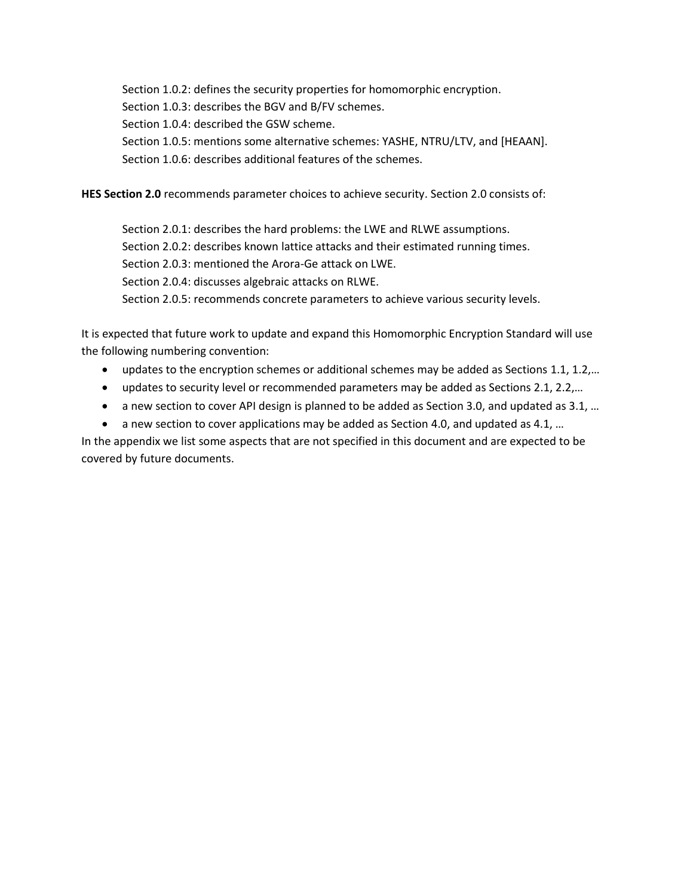Section 1.0.2: defines the security properties for homomorphic encryption. Section 1.0.3: describes the BGV and B/FV schemes. Section 1.0.4: described the GSW scheme. Section 1.0.5: mentions some alternative schemes: YASHE, NTRU/LTV, and [HEAAN]. Section 1.0.6: describes additional features of the schemes.

**HES Section 2.0** recommends parameter choices to achieve security. Section 2.0 consists of:

Section 2.0.1: describes the hard problems: the LWE and RLWE assumptions. Section 2.0.2: describes known lattice attacks and their estimated running times. Section 2.0.3: mentioned the Arora-Ge attack on LWE. Section 2.0.4: discusses algebraic attacks on RLWE. Section 2.0.5: recommends concrete parameters to achieve various security levels.

It is expected that future work to update and expand this Homomorphic Encryption Standard will use the following numbering convention:

- updates to the encryption schemes or additional schemes may be added as Sections 1.1, 1.2,...
- updates to security level or recommended parameters may be added as Sections 2.1, 2.2,…
- a new section to cover API design is planned to be added as Section 3.0, and updated as 3.1, ...
- a new section to cover applications may be added as Section 4.0, and updated as 4.1, ...

In the appendix we list some aspects that are not specified in this document and are expected to be covered by future documents.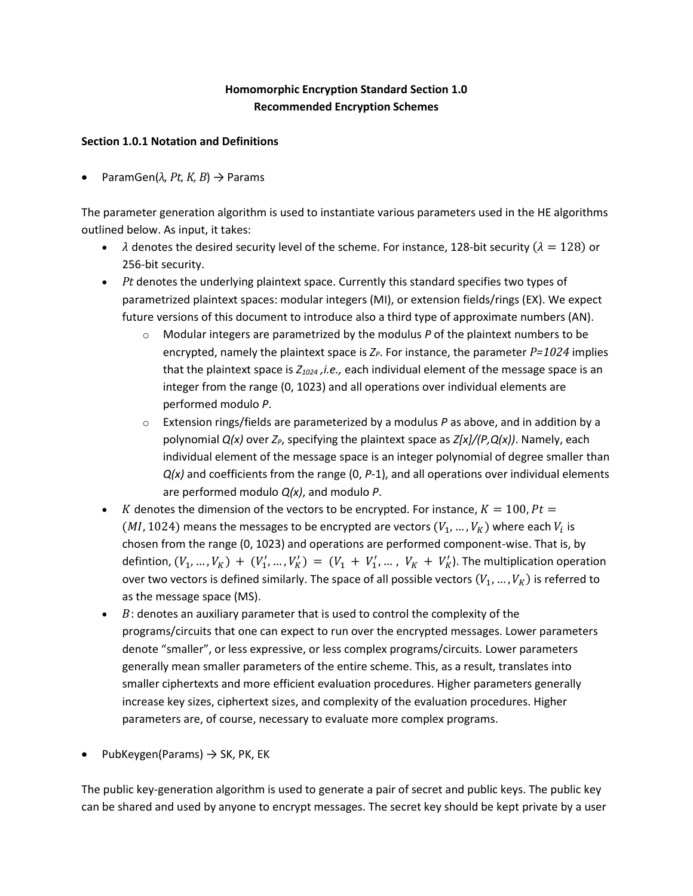# **Homomorphic Encryption Standard Section 1.0 Recommended Encryption Schemes**

### **Section 1.0.1 Notation and Definitions**

• ParamGen(*λ, Pt, K, B*) → Params

The parameter generation algorithm is used to instantiate various parameters used in the HE algorithms outlined below. As input, it takes:

- $\lambda$  denotes the desired security level of the scheme. For instance, 128-bit security ( $\lambda = 128$ ) or 256-bit security.
- *Pt* denotes the underlying plaintext space. Currently this standard specifies two types of parametrized plaintext spaces: modular integers (MI), or extension fields/rings (EX). We expect future versions of this document to introduce also a third type of approximate numbers (AN).
	- o Modular integers are parametrized by the modulus *P* of the plaintext numbers to be encrypted, namely the plaintext space is  $Z_P$ . For instance, the parameter  $P=1024$  implies that the plaintext space is *Z<sup>1024</sup> ,i.e.,* each individual element of the message space is an integer from the range (0, 1023) and all operations over individual elements are performed modulo *P*.
	- o Extension rings/fields are parameterized by a modulus *P* as above, and in addition by a polynomial *Q(x)* over *ZP*, specifying the plaintext space as *Z[x]/(P,Q(x))*. Namely, each individual element of the message space is an integer polynomial of degree smaller than *Q(x)* and coefficients from the range (0, *P*-1), and all operations over individual elements are performed modulo *Q(x)*, and modulo *P*.
- *K* denotes the dimension of the vectors to be encrypted. For instance,  $K = 100$ ,  $Pt =$  $(MI, 1024)$  means the messages to be encrypted are vectors  $(V_1, ..., V_K)$  where each  $V_i$  is chosen from the range (0, 1023) and operations are performed component-wise. That is, by defintion,  $(V_1, ..., V_K) + (V'_1, ..., V'_K) = (V_1 + V'_1, ..., V_K + V'_K)$ . The multiplication operation over two vectors is defined similarly. The space of all possible vectors  $(V_1, ..., V_K)$  is referred to as the message space (MS).
- $\bullet$   $B$ : denotes an auxiliary parameter that is used to control the complexity of the programs/circuits that one can expect to run over the encrypted messages. Lower parameters denote "smaller", or less expressive, or less complex programs/circuits. Lower parameters generally mean smaller parameters of the entire scheme. This, as a result, translates into smaller ciphertexts and more efficient evaluation procedures. Higher parameters generally increase key sizes, ciphertext sizes, and complexity of the evaluation procedures. Higher parameters are, of course, necessary to evaluate more complex programs.
- PubKeygen(Params)  $\rightarrow$  SK, PK, EK

The public key-generation algorithm is used to generate a pair of secret and public keys. The public key can be shared and used by anyone to encrypt messages. The secret key should be kept private by a user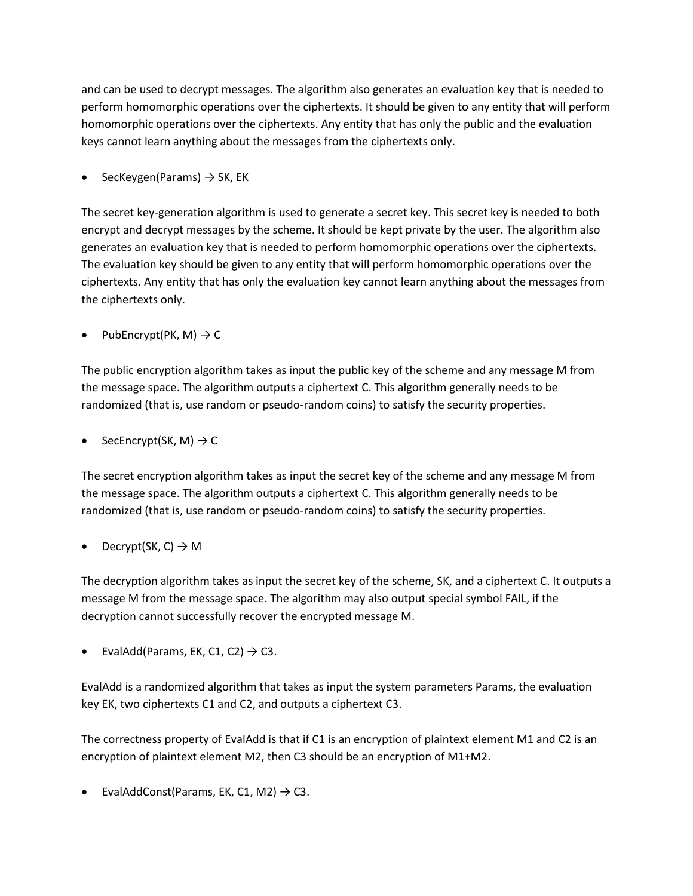and can be used to decrypt messages. The algorithm also generates an evaluation key that is needed to perform homomorphic operations over the ciphertexts. It should be given to any entity that will perform homomorphic operations over the ciphertexts. Any entity that has only the public and the evaluation keys cannot learn anything about the messages from the ciphertexts only.

SecKeygen(Params)  $\rightarrow$  SK, EK

The secret key-generation algorithm is used to generate a secret key. This secret key is needed to both encrypt and decrypt messages by the scheme. It should be kept private by the user. The algorithm also generates an evaluation key that is needed to perform homomorphic operations over the ciphertexts. The evaluation key should be given to any entity that will perform homomorphic operations over the ciphertexts. Any entity that has only the evaluation key cannot learn anything about the messages from the ciphertexts only.

PubEncrypt(PK, M)  $\rightarrow$  C

The public encryption algorithm takes as input the public key of the scheme and any message M from the message space. The algorithm outputs a ciphertext C. This algorithm generally needs to be randomized (that is, use random or pseudo-random coins) to satisfy the security properties.

SecEncrypt(SK, M)  $\rightarrow$  C

The secret encryption algorithm takes as input the secret key of the scheme and any message M from the message space. The algorithm outputs a ciphertext C. This algorithm generally needs to be randomized (that is, use random or pseudo-random coins) to satisfy the security properties.

Decrypt(SK, C)  $\rightarrow$  M

The decryption algorithm takes as input the secret key of the scheme, SK, and a ciphertext C. It outputs a message M from the message space. The algorithm may also output special symbol FAIL, if the decryption cannot successfully recover the encrypted message M.

EvalAdd(Params, EK, C1, C2)  $\rightarrow$  C3.

EvalAdd is a randomized algorithm that takes as input the system parameters Params, the evaluation key EK, two ciphertexts C1 and C2, and outputs a ciphertext C3.

The correctness property of EvalAdd is that if C1 is an encryption of plaintext element M1 and C2 is an encryption of plaintext element M2, then C3 should be an encryption of M1+M2.

EvalAddConst(Params, EK, C1, M2)  $\rightarrow$  C3.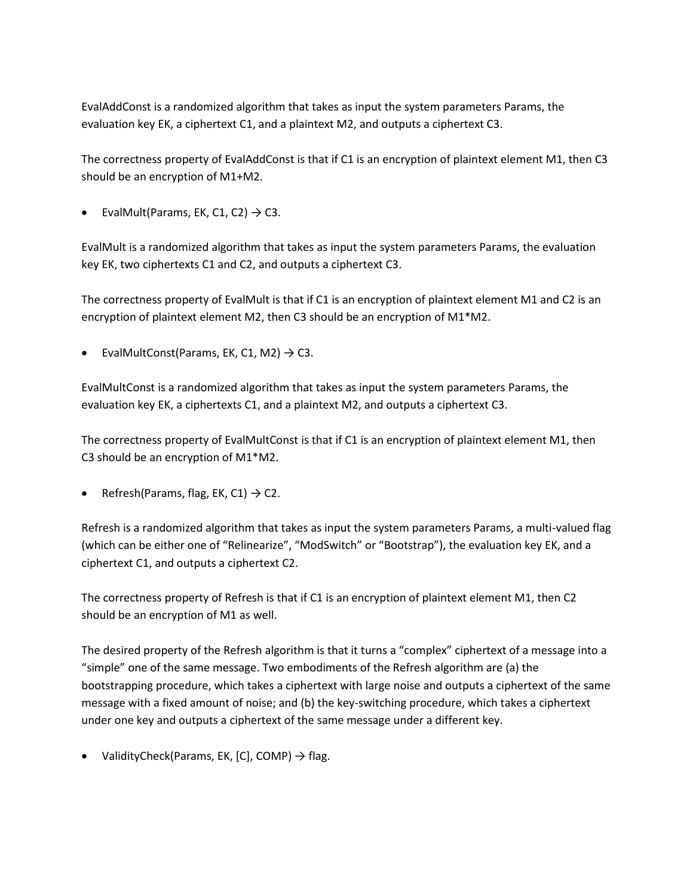EvalAddConst is a randomized algorithm that takes as input the system parameters Params, the evaluation key EK, a ciphertext C1, and a plaintext M2, and outputs a ciphertext C3.

The correctness property of EvalAddConst is that if C1 is an encryption of plaintext element M1, then C3 should be an encryption of M1+M2.

EvalMult(Params, EK, C1, C2)  $\rightarrow$  C3.

EvalMult is a randomized algorithm that takes as input the system parameters Params, the evaluation key EK, two ciphertexts C1 and C2, and outputs a ciphertext C3.

The correctness property of EvalMult is that if C1 is an encryption of plaintext element M1 and C2 is an encryption of plaintext element M2, then C3 should be an encryption of M1\*M2.

• EvalMultConst(Params, EK, C1, M2)  $\rightarrow$  C3.

EvalMultConst is a randomized algorithm that takes as input the system parameters Params, the evaluation key EK, a ciphertexts C1, and a plaintext M2, and outputs a ciphertext C3.

The correctness property of EvalMultConst is that if C1 is an encryption of plaintext element M1, then C3 should be an encryption of M1\*M2.

Refresh(Params, flag, EK, C1)  $\rightarrow$  C2.

Refresh is a randomized algorithm that takes as input the system parameters Params, a multi-valued flag (which can be either one of "Relinearize", "ModSwitch" or "Bootstrap"), the evaluation key EK, and a ciphertext C1, and outputs a ciphertext C2.

The correctness property of Refresh is that if C1 is an encryption of plaintext element M1, then C2 should be an encryption of M1 as well.

The desired property of the Refresh algorithm is that it turns a "complex" ciphertext of a message into a "simple" one of the same message. Two embodiments of the Refresh algorithm are (a) the bootstrapping procedure, which takes a ciphertext with large noise and outputs a ciphertext of the same message with a fixed amount of noise; and (b) the key-switching procedure, which takes a ciphertext under one key and outputs a ciphertext of the same message under a different key.

ValidityCheck(Params, EK, [C], COMP)  $\rightarrow$  flag.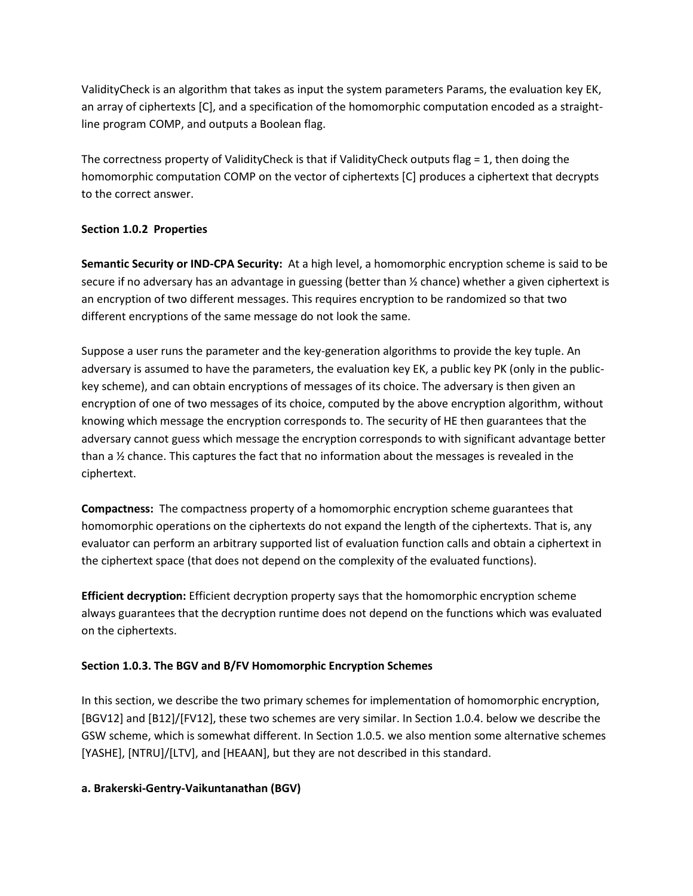ValidityCheck is an algorithm that takes as input the system parameters Params, the evaluation key EK, an array of ciphertexts [C], and a specification of the homomorphic computation encoded as a straightline program COMP, and outputs a Boolean flag.

The correctness property of ValidityCheck is that if ValidityCheck outputs flag = 1, then doing the homomorphic computation COMP on the vector of ciphertexts [C] produces a ciphertext that decrypts to the correct answer.

### **Section 1.0.2 Properties**

**Semantic Security or IND-CPA Security:** At a high level, a homomorphic encryption scheme is said to be secure if no adversary has an advantage in guessing (better than ½ chance) whether a given ciphertext is an encryption of two different messages. This requires encryption to be randomized so that two different encryptions of the same message do not look the same.

Suppose a user runs the parameter and the key-generation algorithms to provide the key tuple. An adversary is assumed to have the parameters, the evaluation key EK, a public key PK (only in the publickey scheme), and can obtain encryptions of messages of its choice. The adversary is then given an encryption of one of two messages of its choice, computed by the above encryption algorithm, without knowing which message the encryption corresponds to. The security of HE then guarantees that the adversary cannot guess which message the encryption corresponds to with significant advantage better than a ½ chance. This captures the fact that no information about the messages is revealed in the ciphertext.

**Compactness:** The compactness property of a homomorphic encryption scheme guarantees that homomorphic operations on the ciphertexts do not expand the length of the ciphertexts. That is, any evaluator can perform an arbitrary supported list of evaluation function calls and obtain a ciphertext in the ciphertext space (that does not depend on the complexity of the evaluated functions).

**Efficient decryption:** Efficient decryption property says that the homomorphic encryption scheme always guarantees that the decryption runtime does not depend on the functions which was evaluated on the ciphertexts.

### **Section 1.0.3. The BGV and B/FV Homomorphic Encryption Schemes**

In this section, we describe the two primary schemes for implementation of homomorphic encryption, [BGV12] and [B12]/[FV12], these two schemes are very similar. In Section 1.0.4. below we describe the GSW scheme, which is somewhat different. In Section 1.0.5. we also mention some alternative schemes [YASHE], [NTRU]/[LTV], and [HEAAN], but they are not described in this standard.

### **a. Brakerski-Gentry-Vaikuntanathan (BGV)**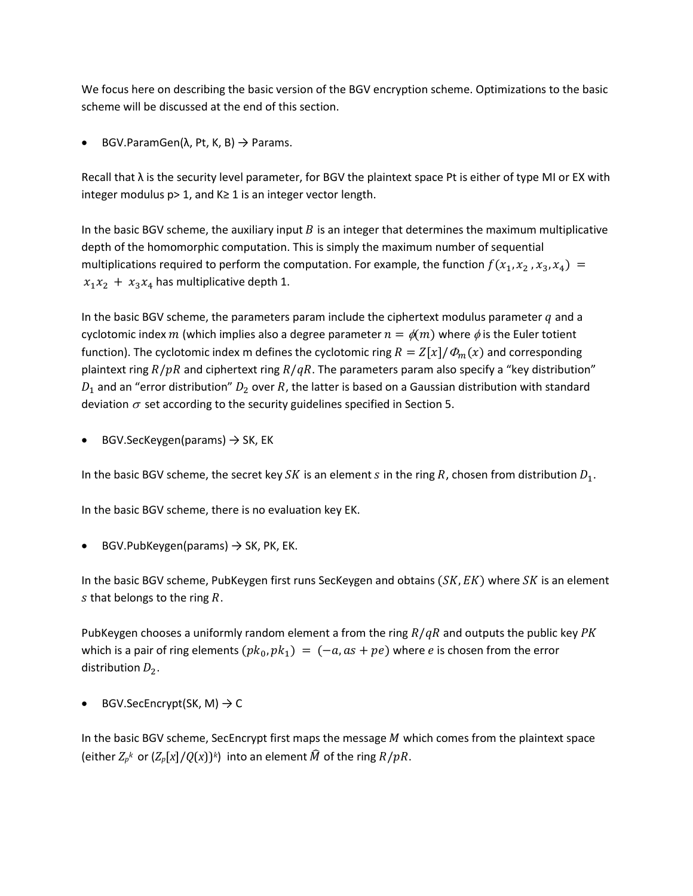We focus here on describing the basic version of the BGV encryption scheme. Optimizations to the basic scheme will be discussed at the end of this section.

BGV.ParamGen( $λ$ , Pt, K, B)  $\rightarrow$  Params.

Recall that  $\lambda$  is the security level parameter, for BGV the plaintext space Pt is either of type MI or EX with integer modulus p> 1, and K≥ 1 is an integer vector length.

In the basic BGV scheme, the auxiliary input  $B$  is an integer that determines the maximum multiplicative depth of the homomorphic computation. This is simply the maximum number of sequential multiplications required to perform the computation. For example, the function  $f(x_1, x_2, x_3, x_4) =$  $x_1 x_2 + x_3 x_4$  has multiplicative depth 1.

In the basic BGV scheme, the parameters param include the ciphertext modulus parameter  $q$  and a cyclotomic index m (which implies also a degree parameter  $n = \phi(m)$  where  $\phi$  is the Euler totient function). The cyclotomic index m defines the cyclotomic ring  $R = Z[x]/\Phi_m(x)$  and corresponding plaintext ring  $R / pR$  and ciphertext ring  $R / qR$ . The parameters param also specify a "key distribution"  $D_1$  and an "error distribution"  $D_2$  over R, the latter is based on a Gaussian distribution with standard deviation  $\sigma$  set according to the security guidelines specified in Section 5.

BGV.SecKeygen(params)  $\rightarrow$  SK, EK

In the basic BGV scheme, the secret key SK is an element s in the ring R, chosen from distribution  $D_1$ .

In the basic BGV scheme, there is no evaluation key EK.

BGV.PubKeygen(params)  $\rightarrow$  SK, PK, EK.

In the basic BGV scheme, PubKeygen first runs SecKeygen and obtains  $(SK, EK)$  where  $SK$  is an element s that belongs to the ring  $R$ .

PubKeygen chooses a uniformly random element a from the ring  $R/qR$  and outputs the public key PK which is a pair of ring elements  $(pk_0, pk_1) = (-a, as + pe)$  where e is chosen from the error distribution  $D_2$ .

BGV.SecEncrypt(SK, M)  $\rightarrow$  C

In the basic BGV scheme, SecEncrypt first maps the message  $M$  which comes from the plaintext space (either  $Z_p^k$  or  $(Z_p[x]/Q(x))^k$ ) into an element  $\widehat{M}$  of the ring  $R/pR$ .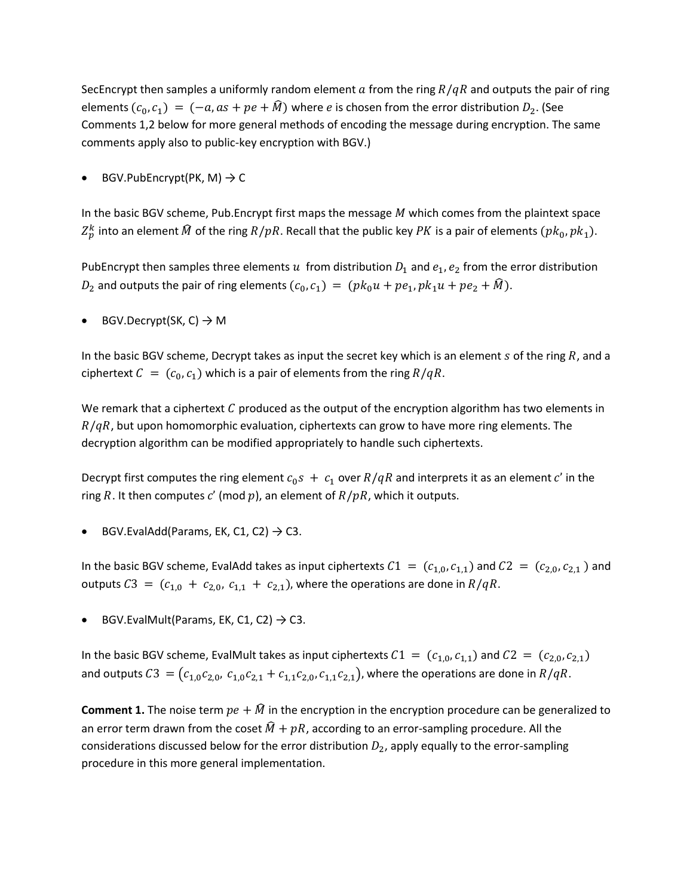SecEncrypt then samples a uniformly random element a from the ring  $R/qR$  and outputs the pair of ring elements  $(c_0, c_1) = (-a, as + pe + \hat{M})$  where *e* is chosen from the error distribution  $D_2$ . (See Comments 1,2 below for more general methods of encoding the message during encryption. The same comments apply also to public-key encryption with BGV.)

BGV.PubEncrypt(PK, M)  $\rightarrow$  C

In the basic BGV scheme, Pub. Encrypt first maps the message  $M$  which comes from the plaintext space  $Z_p^k$  into an element  $\widehat{M}$  of the ring  $R/pR.$  Recall that the public key  $PK$  is a pair of elements  $(pk_0, pk_1).$ 

PubEncrypt then samples three elements  $u$  from distribution  $D_1$  and  $e_1$ ,  $e_2$  from the error distribution  $D_2$  and outputs the pair of ring elements  $(c_0, c_1) = (pk_0u + pe_1, pk_1u + pe_2 + M)$ .

BGV.Decrypt(SK, C)  $\rightarrow$  M

In the basic BGV scheme, Decrypt takes as input the secret key which is an element  $s$  of the ring  $R$ , and a ciphertext  $C = (c_0, c_1)$  which is a pair of elements from the ring  $R/qR$ .

We remark that a ciphertext  $C$  produced as the output of the encryption algorithm has two elements in  $R/qR$ , but upon homomorphic evaluation, ciphertexts can grow to have more ring elements. The decryption algorithm can be modified appropriately to handle such ciphertexts.

Decrypt first computes the ring element  $c_0 s + c_1$  over  $R/qR$  and interprets it as an element c' in the ring R. It then computes c' (mod p), an element of  $R/pR$ , which it outputs.

BGV.EvalAdd(Params, EK, C1, C2)  $\rightarrow$  C3.

In the basic BGV scheme, EvalAdd takes as input ciphertexts  $C_1 = (c_{1,0}, c_{1,1})$  and  $C_2 = (c_{2,0}, c_{2,1})$  and outputs  $C3 = (c_{1,0} + c_{2,0}, c_{1,1} + c_{2,1})$ , where the operations are done in  $R/qR$ .

BGV.EvalMult(Params, EK, C1, C2)  $\rightarrow$  C3.

In the basic BGV scheme, EvalMult takes as input ciphertexts  $C1 = (c_{1,0}, c_{1,1})$  and  $C2 = (c_{2,0}, c_{2,1})$ and outputs  $C_3 = (c_{1,0}c_{2,0}, c_{1,0}c_{2,1} + c_{1,1}c_{2,0}, c_{1,1}c_{2,1})$ , where the operations are done in  $R/qR$ .

**Comment 1.** The noise term  $pe + \hat{M}$  in the encryption in the encryption procedure can be generalized to an error term drawn from the coset  $\hat{M} + pR$ , according to an error-sampling procedure. All the considerations discussed below for the error distribution  $D_2$ , apply equally to the error-sampling procedure in this more general implementation.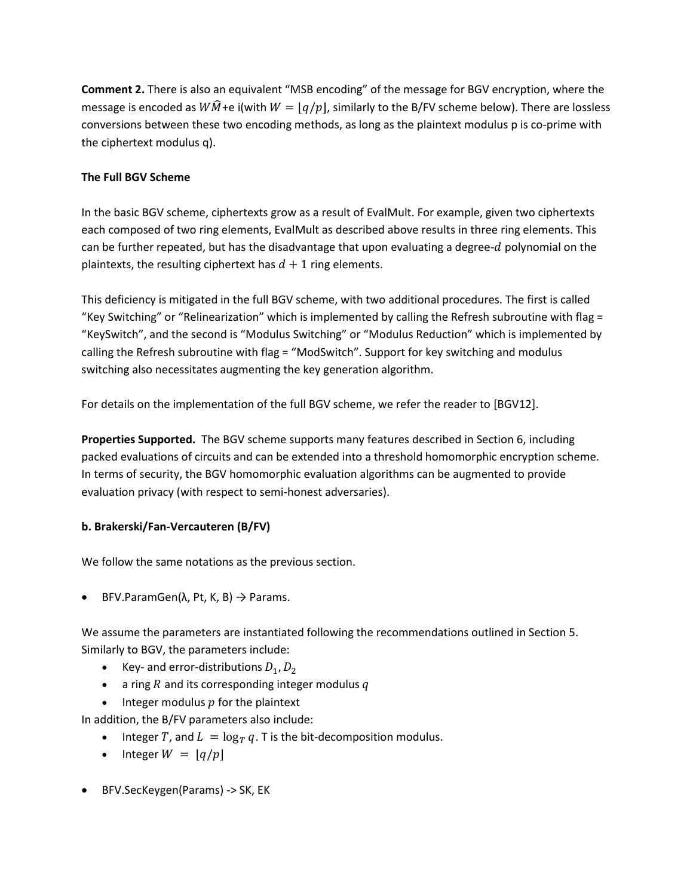**Comment 2.** There is also an equivalent "MSB encoding" of the message for BGV encryption, where the message is encoded as  $W\hat{M}$ +e i(with  $W = |q/p|$ , similarly to the B/FV scheme below). There are lossless conversions between these two encoding methods, as long as the plaintext modulus p is co-prime with the ciphertext modulus q).

### **The Full BGV Scheme**

In the basic BGV scheme, ciphertexts grow as a result of EvalMult. For example, given two ciphertexts each composed of two ring elements, EvalMult as described above results in three ring elements. This can be further repeated, but has the disadvantage that upon evaluating a degree- $d$  polynomial on the plaintexts, the resulting ciphertext has  $d + 1$  ring elements.

This deficiency is mitigated in the full BGV scheme, with two additional procedures. The first is called "Key Switching" or "Relinearization" which is implemented by calling the Refresh subroutine with flag = "KeySwitch", and the second is "Modulus Switching" or "Modulus Reduction" which is implemented by calling the Refresh subroutine with flag = "ModSwitch". Support for key switching and modulus switching also necessitates augmenting the key generation algorithm.

For details on the implementation of the full BGV scheme, we refer the reader to [BGV12].

**Properties Supported.** The BGV scheme supports many features described in Section 6, including packed evaluations of circuits and can be extended into a threshold homomorphic encryption scheme. In terms of security, the BGV homomorphic evaluation algorithms can be augmented to provide evaluation privacy (with respect to semi-honest adversaries).

### **b. Brakerski/Fan-Vercauteren (B/FV)**

We follow the same notations as the previous section.

• BFV.ParamGen( $\lambda$ , Pt, K, B)  $\rightarrow$  Params.

We assume the parameters are instantiated following the recommendations outlined in Section 5. Similarly to BGV, the parameters include:

- Key- and error-distributions  $D_1, D_2$
- a ring  $R$  and its corresponding integer modulus  $q$
- Integer modulus  $p$  for the plaintext

In addition, the B/FV parameters also include:

- Integer T, and  $L = \log_T q$ . T is the bit-decomposition modulus.
- Integer  $W = |q/p|$
- BFV.SecKeygen(Params) -> SK, EK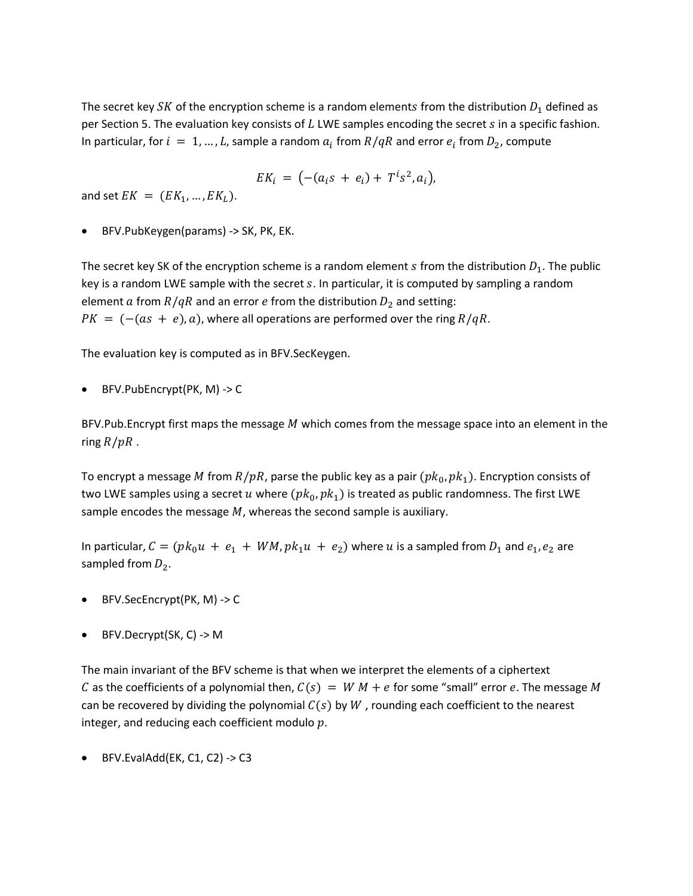The secret key SK of the encryption scheme is a random elements from the distribution  $D_1$  defined as per Section 5. The evaluation key consists of  $L$  LWE samples encoding the secret  $s$  in a specific fashion. In particular, for  $i = 1, ..., L$ , sample a random  $a_i$  from  $R/qR$  and error  $e_i$  from  $D_2$ , compute

$$
EK_i = (-(a_i s + e_i) + T^i s^2, a_i),
$$

and set  $EK = (EK_1, ..., EK_l)$ .

• BFV.PubKeygen(params) -> SK, PK, EK.

The secret key SK of the encryption scheme is a random element  $s$  from the distribution  $D_1$ . The public key is a random LWE sample with the secret  $s$ . In particular, it is computed by sampling a random element a from  $R/qR$  and an error e from the distribution  $D_2$  and setting:  $PK = (-(\alpha s + e), a)$ , where all operations are performed over the ring  $R/qR$ .

The evaluation key is computed as in BFV.SecKeygen.

• BFV.PubEncrypt(PK, M) -> C

BFV.Pub.Encrypt first maps the message  $M$  which comes from the message space into an element in the ring  $R / pR$ .

To encrypt a message M from  $R/pR$ , parse the public key as a pair  $(pk_0, pk_1)$ . Encryption consists of two LWE samples using a secret u where  $(pk_0, pk_1)$  is treated as public randomness. The first LWE sample encodes the message  $M$ , whereas the second sample is auxiliary.

In particular,  $C = (pk_0u + e_1 + WM, pk_1u + e_2)$  where u is a sampled from  $D_1$  and  $e_1, e_2$  are sampled from  $D_2$ .

- BFV.SecEncrypt(PK, M) -> C
- BFV.Decrypt(SK, C) -> M

The main invariant of the BFV scheme is that when we interpret the elements of a ciphertext C as the coefficients of a polynomial then,  $C(s) = W M + e$  for some "small" error e. The message M can be recovered by dividing the polynomial  $C(s)$  by W, rounding each coefficient to the nearest integer, and reducing each coefficient modulo  $p$ .

• BFV.EvalAdd(EK, C1, C2) -> C3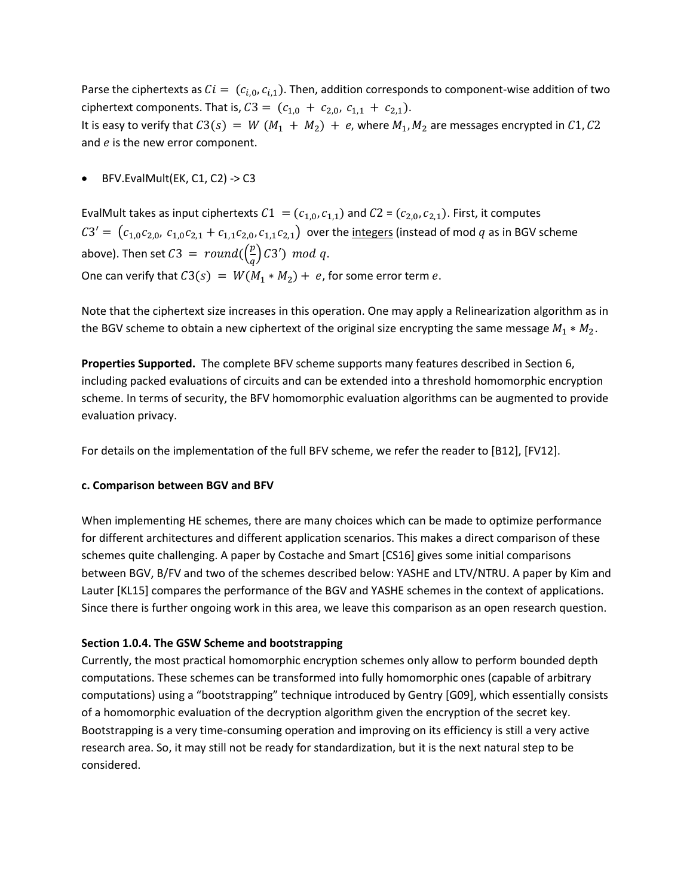Parse the ciphertexts as  $Ci = (c_{i,0}, c_{i,1})$ . Then, addition corresponds to component-wise addition of two ciphertext components. That is,  $C3 = (c_{1,0} + c_{2,0}, c_{1,1} + c_{2,1}).$ It is easy to verify that  $C3(s) = W(M_1 + M_2) + e$ , where  $M_1, M_2$  are messages encrypted in C1, C2 and  $e$  is the new error component.

• BFV.EvalMult(EK, C1, C2) -> C3

EvalMult takes as input ciphertexts  $C_1 = (c_{1,0}, c_{1,1})$  and  $C_2 = (c_{2,0}, c_{2,1})$ . First, it computes  $C3' = (c_{1,0}c_{2,0}, c_{1,0}c_{2,1} + c_{1,1}c_{2,0}, c_{1,1}c_{2,1})$  over the integers (instead of mod q as in BGV scheme above). Then set  $C3 = round(\frac{p}{q})$  $\frac{p}{q}$ ) C3′) mod q. One can verify that  $C3(s) = W(M_1 * M_2) + e$ , for some error term e.

Note that the ciphertext size increases in this operation. One may apply a Relinearization algorithm as in the BGV scheme to obtain a new ciphertext of the original size encrypting the same message  $M_1 * M_2$ .

**Properties Supported.** The complete BFV scheme supports many features described in Section 6, including packed evaluations of circuits and can be extended into a threshold homomorphic encryption scheme. In terms of security, the BFV homomorphic evaluation algorithms can be augmented to provide evaluation privacy.

For details on the implementation of the full BFV scheme, we refer the reader to [B12], [FV12].

### **c. Comparison between BGV and BFV**

When implementing HE schemes, there are many choices which can be made to optimize performance for different architectures and different application scenarios. This makes a direct comparison of these schemes quite challenging. A paper by Costache and Smart [CS16] gives some initial comparisons between BGV, B/FV and two of the schemes described below: YASHE and LTV/NTRU. A paper by Kim and Lauter [KL15] compares the performance of the BGV and YASHE schemes in the context of applications. Since there is further ongoing work in this area, we leave this comparison as an open research question.

### **Section 1.0.4. The GSW Scheme and bootstrapping**

Currently, the most practical homomorphic encryption schemes only allow to perform bounded depth computations. These schemes can be transformed into fully homomorphic ones (capable of arbitrary computations) using a "bootstrapping" technique introduced by Gentry [G09], which essentially consists of a homomorphic evaluation of the decryption algorithm given the encryption of the secret key. Bootstrapping is a very time-consuming operation and improving on its efficiency is still a very active research area. So, it may still not be ready for standardization, but it is the next natural step to be considered.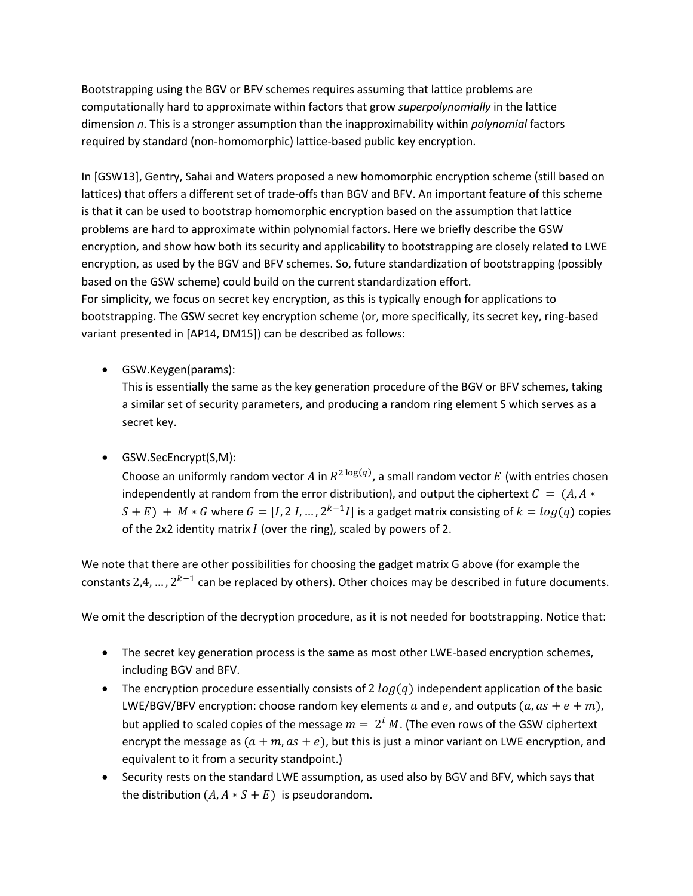Bootstrapping using the BGV or BFV schemes requires assuming that lattice problems are computationally hard to approximate within factors that grow *superpolynomially* in the lattice dimension *n*. This is a stronger assumption than the inapproximability within *polynomial* factors required by standard (non-homomorphic) lattice-based public key encryption.

In [GSW13], Gentry, Sahai and Waters proposed a new homomorphic encryption scheme (still based on lattices) that offers a different set of trade-offs than BGV and BFV. An important feature of this scheme is that it can be used to bootstrap homomorphic encryption based on the assumption that lattice problems are hard to approximate within polynomial factors. Here we briefly describe the GSW encryption, and show how both its security and applicability to bootstrapping are closely related to LWE encryption, as used by the BGV and BFV schemes. So, future standardization of bootstrapping (possibly based on the GSW scheme) could build on the current standardization effort. For simplicity, we focus on secret key encryption, as this is typically enough for applications to bootstrapping. The GSW secret key encryption scheme (or, more specifically, its secret key, ring-based variant presented in [AP14, DM15]) can be described as follows:

• GSW.Keygen(params):

This is essentially the same as the key generation procedure of the BGV or BFV schemes, taking a similar set of security parameters, and producing a random ring element S which serves as a secret key.

• GSW.SecEncrypt(S,M):

Choose an uniformly random vector A in  $R^{2 \log(q)}$ , a small random vector E (with entries chosen independently at random from the error distribution), and output the ciphertext  $C = (A, A *$  $(S + E) + M * G$  where  $G = [I, 2 I, ..., 2^{k-1} I]$  is a gadget matrix consisting of  $k = log(q)$  copies of the 2x2 identity matrix  $I$  (over the ring), scaled by powers of 2.

We note that there are other possibilities for choosing the gadget matrix G above (for example the constants 2,4, ...,  $2^{k-1}$  can be replaced by others). Other choices may be described in future documents.

We omit the description of the decryption procedure, as it is not needed for bootstrapping. Notice that:

- The secret key generation process is the same as most other LWE-based encryption schemes, including BGV and BFV.
- The encryption procedure essentially consists of 2  $log(q)$  independent application of the basic LWE/BGV/BFV encryption: choose random key elements a and e, and outputs  $(a, as + e + m)$ , but applied to scaled copies of the message  $m = 2^i M$ . (The even rows of the GSW ciphertext encrypt the message as  $(a + m, as + e)$ , but this is just a minor variant on LWE encryption, and equivalent to it from a security standpoint.)
- Security rests on the standard LWE assumption, as used also by BGV and BFV, which says that the distribution  $(A, A * S + E)$  is pseudorandom.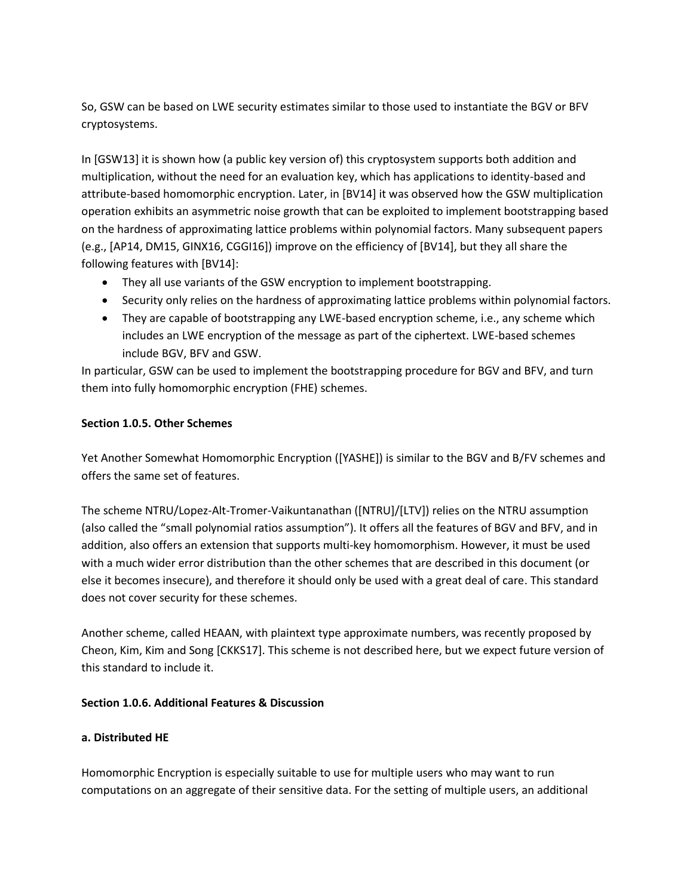So, GSW can be based on LWE security estimates similar to those used to instantiate the BGV or BFV cryptosystems.

In [GSW13] it is shown how (a public key version of) this cryptosystem supports both addition and multiplication, without the need for an evaluation key, which has applications to identity-based and attribute-based homomorphic encryption. Later, in [BV14] it was observed how the GSW multiplication operation exhibits an asymmetric noise growth that can be exploited to implement bootstrapping based on the hardness of approximating lattice problems within polynomial factors. Many subsequent papers (e.g., [AP14, DM15, GINX16, CGGI16]) improve on the efficiency of [BV14], but they all share the following features with [BV14]:

- They all use variants of the GSW encryption to implement bootstrapping.
- Security only relies on the hardness of approximating lattice problems within polynomial factors.
- They are capable of bootstrapping any LWE-based encryption scheme, i.e., any scheme which includes an LWE encryption of the message as part of the ciphertext. LWE-based schemes include BGV, BFV and GSW.

In particular, GSW can be used to implement the bootstrapping procedure for BGV and BFV, and turn them into fully homomorphic encryption (FHE) schemes.

### **Section 1.0.5. Other Schemes**

Yet Another Somewhat Homomorphic Encryption ([YASHE]) is similar to the BGV and B/FV schemes and offers the same set of features.

The scheme NTRU/Lopez-Alt-Tromer-Vaikuntanathan ([NTRU]/[LTV]) relies on the NTRU assumption (also called the "small polynomial ratios assumption"). It offers all the features of BGV and BFV, and in addition, also offers an extension that supports multi-key homomorphism. However, it must be used with a much wider error distribution than the other schemes that are described in this document (or else it becomes insecure), and therefore it should only be used with a great deal of care. This standard does not cover security for these schemes.

Another scheme, called HEAAN, with plaintext type approximate numbers, was recently proposed by Cheon, Kim, Kim and Song [CKKS17]. This scheme is not described here, but we expect future version of this standard to include it.

### **Section 1.0.6. Additional Features & Discussion**

### **a. Distributed HE**

Homomorphic Encryption is especially suitable to use for multiple users who may want to run computations on an aggregate of their sensitive data. For the setting of multiple users, an additional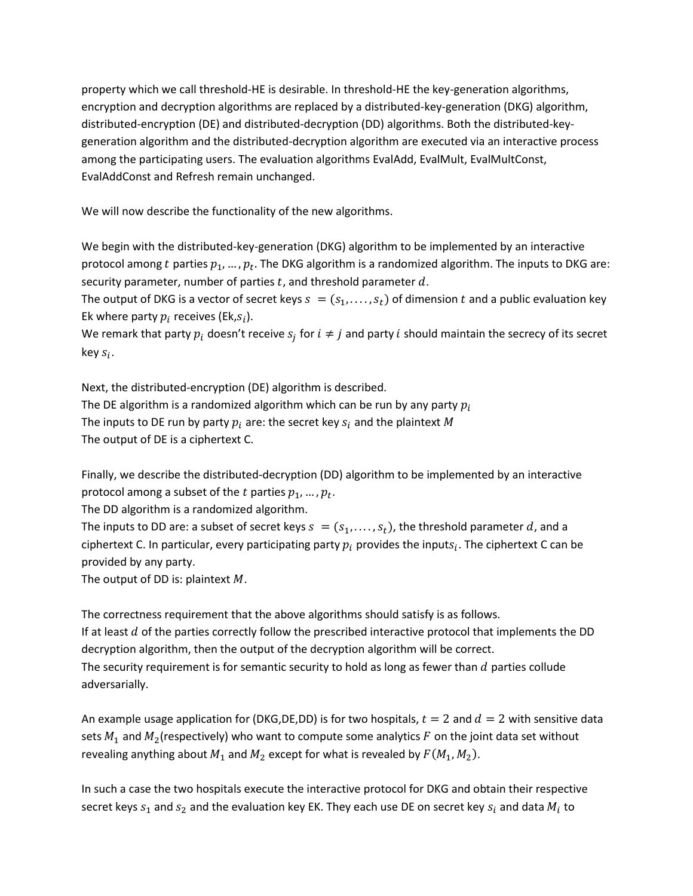property which we call threshold-HE is desirable. In threshold-HE the key-generation algorithms, encryption and decryption algorithms are replaced by a distributed-key-generation (DKG) algorithm, distributed-encryption (DE) and distributed-decryption (DD) algorithms. Both the distributed-keygeneration algorithm and the distributed-decryption algorithm are executed via an interactive process among the participating users. The evaluation algorithms EvalAdd, EvalMult, EvalMultConst, EvalAddConst and Refresh remain unchanged.

We will now describe the functionality of the new algorithms.

We begin with the distributed-key-generation (DKG) algorithm to be implemented by an interactive protocol among t parties  $p_1, ..., p_t$ . The DKG algorithm is a randomized algorithm. The inputs to DKG are: security parameter, number of parties  $t$ , and threshold parameter  $d$ .

The output of DKG is a vector of secret keys  $s = (s_1, \ldots, s_t)$  of dimension t and a public evaluation key Ek where party  $p_i$  receives (Ek, $s_i$ ).

We remark that party  $p_i$  doesn't receive  $s_j$  for  $i \neq j$  and party i should maintain the secrecy of its secret key  $s_i$ .

Next, the distributed-encryption (DE) algorithm is described.

The DE algorithm is a randomized algorithm which can be run by any party  $p_i$ 

The inputs to DE run by party  $p_i$  are: the secret key  $s_i$  and the plaintext M

The output of DE is a ciphertext C.

Finally, we describe the distributed-decryption (DD) algorithm to be implemented by an interactive protocol among a subset of the  $t$  parties  $p_1, ..., p_t$ .

The DD algorithm is a randomized algorithm.

The inputs to DD are: a subset of secret keys  $s = (s_1, \ldots, s_t)$ , the threshold parameter d, and a ciphertext C. In particular, every participating party  $p_i$  provides the input $s_i$ . The ciphertext C can be provided by any party.

The output of DD is: plaintext  $M$ .

The correctness requirement that the above algorithms should satisfy is as follows. If at least  $d$  of the parties correctly follow the prescribed interactive protocol that implements the DD decryption algorithm, then the output of the decryption algorithm will be correct. The security requirement is for semantic security to hold as long as fewer than  $d$  parties collude adversarially.

An example usage application for (DKG,DE,DD) is for two hospitals,  $t = 2$  and  $d = 2$  with sensitive data sets  $M_1$  and  $M_2$ (respectively) who want to compute some analytics F on the joint data set without revealing anything about  $M_1$  and  $M_2$  except for what is revealed by  $F(M_1, M_2)$ .

In such a case the two hospitals execute the interactive protocol for DKG and obtain their respective secret keys  $s_1$  and  $s_2$  and the evaluation key EK. They each use DE on secret key  $s_i$  and data  $M_i$  to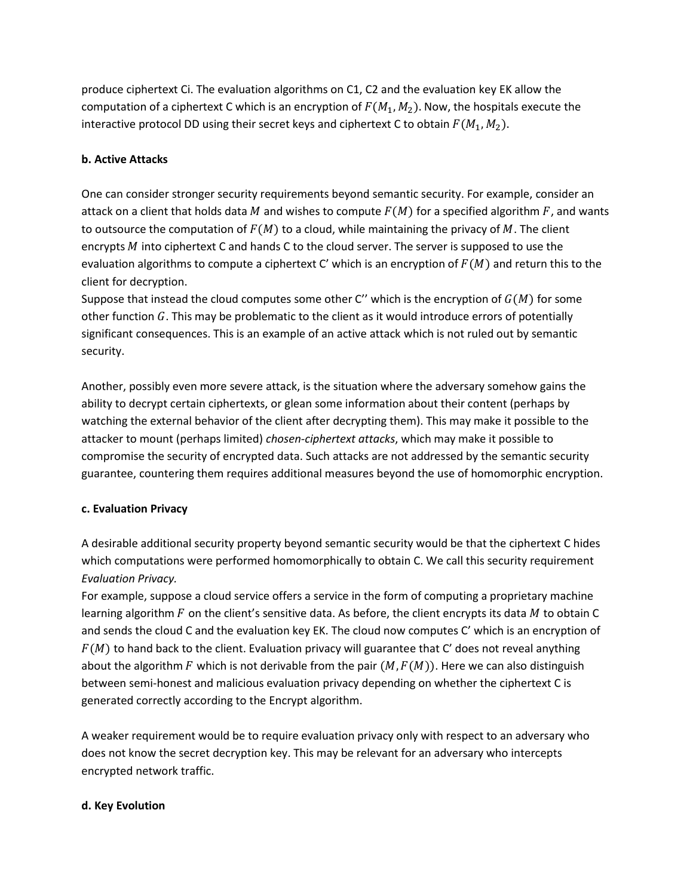produce ciphertext Ci. The evaluation algorithms on C1, C2 and the evaluation key EK allow the computation of a ciphertext C which is an encryption of  $F(M_1, M_2)$ . Now, the hospitals execute the interactive protocol DD using their secret keys and ciphertext C to obtain  $F(M_1, M_2)$ .

### **b. Active Attacks**

One can consider stronger security requirements beyond semantic security. For example, consider an attack on a client that holds data M and wishes to compute  $F(M)$  for a specified algorithm  $F$ , and wants to outsource the computation of  $F(M)$  to a cloud, while maintaining the privacy of M. The client encrypts  $M$  into ciphertext C and hands C to the cloud server. The server is supposed to use the evaluation algorithms to compute a ciphertext C' which is an encryption of  $F(M)$  and return this to the client for decryption.

Suppose that instead the cloud computes some other C'' which is the encryption of  $G(M)$  for some other function  $G$ . This may be problematic to the client as it would introduce errors of potentially significant consequences. This is an example of an active attack which is not ruled out by semantic security.

Another, possibly even more severe attack, is the situation where the adversary somehow gains the ability to decrypt certain ciphertexts, or glean some information about their content (perhaps by watching the external behavior of the client after decrypting them). This may make it possible to the attacker to mount (perhaps limited) *chosen-ciphertext attacks*, which may make it possible to compromise the security of encrypted data. Such attacks are not addressed by the semantic security guarantee, countering them requires additional measures beyond the use of homomorphic encryption.

### **c. Evaluation Privacy**

A desirable additional security property beyond semantic security would be that the ciphertext C hides which computations were performed homomorphically to obtain C. We call this security requirement *Evaluation Privacy.*

For example, suppose a cloud service offers a service in the form of computing a proprietary machine learning algorithm  $F$  on the client's sensitive data. As before, the client encrypts its data  $M$  to obtain C and sends the cloud C and the evaluation key EK. The cloud now computes C' which is an encryption of  $F(M)$  to hand back to the client. Evaluation privacy will guarantee that C' does not reveal anything about the algorithm F which is not derivable from the pair  $(M, F(M))$ . Here we can also distinguish between semi-honest and malicious evaluation privacy depending on whether the ciphertext C is generated correctly according to the Encrypt algorithm.

A weaker requirement would be to require evaluation privacy only with respect to an adversary who does not know the secret decryption key. This may be relevant for an adversary who intercepts encrypted network traffic.

### **d. Key Evolution**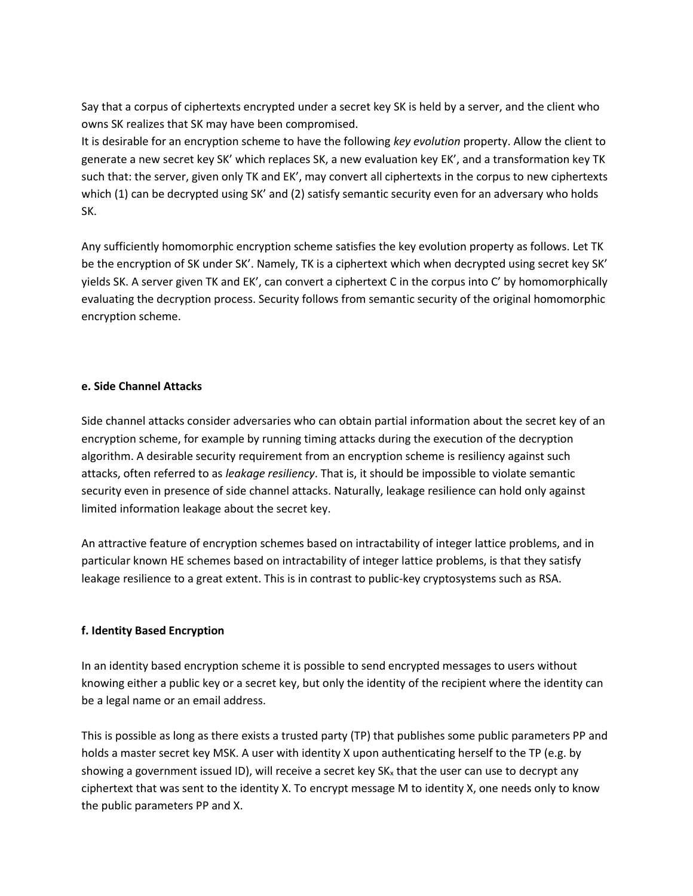Say that a corpus of ciphertexts encrypted under a secret key SK is held by a server, and the client who owns SK realizes that SK may have been compromised.

It is desirable for an encryption scheme to have the following *key evolution* property. Allow the client to generate a new secret key SK' which replaces SK, a new evaluation key EK', and a transformation key TK such that: the server, given only TK and EK', may convert all ciphertexts in the corpus to new ciphertexts which (1) can be decrypted using SK' and (2) satisfy semantic security even for an adversary who holds SK.

Any sufficiently homomorphic encryption scheme satisfies the key evolution property as follows. Let TK be the encryption of SK under SK'. Namely, TK is a ciphertext which when decrypted using secret key SK' yields SK. A server given TK and EK', can convert a ciphertext C in the corpus into C' by homomorphically evaluating the decryption process. Security follows from semantic security of the original homomorphic encryption scheme.

#### **e. Side Channel Attacks**

Side channel attacks consider adversaries who can obtain partial information about the secret key of an encryption scheme, for example by running timing attacks during the execution of the decryption algorithm. A desirable security requirement from an encryption scheme is resiliency against such attacks, often referred to as *leakage resiliency*. That is, it should be impossible to violate semantic security even in presence of side channel attacks. Naturally, leakage resilience can hold only against limited information leakage about the secret key.

An attractive feature of encryption schemes based on intractability of integer lattice problems, and in particular known HE schemes based on intractability of integer lattice problems, is that they satisfy leakage resilience to a great extent. This is in contrast to public-key cryptosystems such as RSA.

### **f. Identity Based Encryption**

In an identity based encryption scheme it is possible to send encrypted messages to users without knowing either a public key or a secret key, but only the identity of the recipient where the identity can be a legal name or an email address.

This is possible as long as there exists a trusted party (TP) that publishes some public parameters PP and holds a master secret key MSK. A user with identity X upon authenticating herself to the TP (e.g. by showing a government issued ID), will receive a secret key  $SK_x$  that the user can use to decrypt any ciphertext that was sent to the identity X. To encrypt message M to identity X, one needs only to know the public parameters PP and X.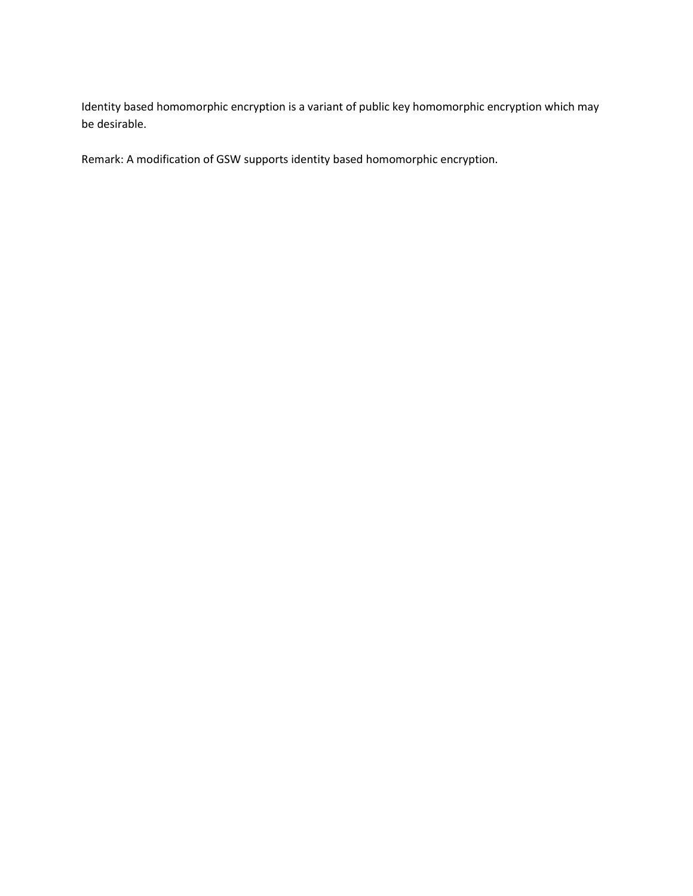Identity based homomorphic encryption is a variant of public key homomorphic encryption which may be desirable.

Remark: A modification of GSW supports identity based homomorphic encryption.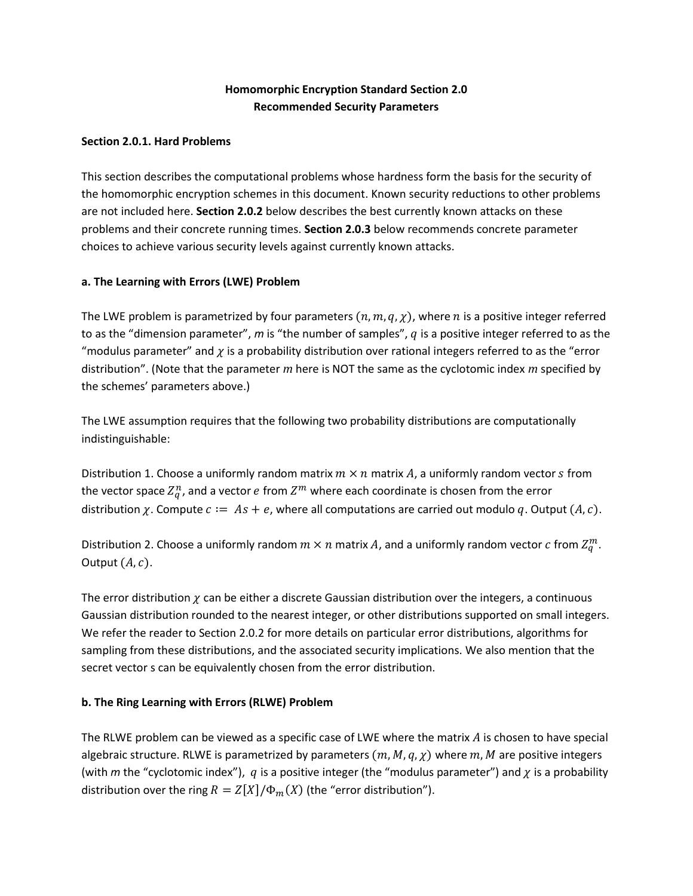# **Homomorphic Encryption Standard Section 2.0 Recommended Security Parameters**

### **Section 2.0.1. Hard Problems**

This section describes the computational problems whose hardness form the basis for the security of the homomorphic encryption schemes in this document. Known security reductions to other problems are not included here. **Section 2.0.2** below describes the best currently known attacks on these problems and their concrete running times. **Section 2.0.3** below recommends concrete parameter choices to achieve various security levels against currently known attacks.

### **a. The Learning with Errors (LWE) Problem**

The LWE problem is parametrized by four parameters  $(n, m, q, \chi)$ , where *n* is a positive integer referred to as the "dimension parameter",  $m$  is "the number of samples",  $q$  is a positive integer referred to as the "modulus parameter" and  $\chi$  is a probability distribution over rational integers referred to as the "error distribution". (Note that the parameter *m* here is NOT the same as the cyclotomic index *m* specified by the schemes' parameters above.)

The LWE assumption requires that the following two probability distributions are computationally indistinguishable:

Distribution 1. Choose a uniformly random matrix  $m \times n$  matrix A, a uniformly random vector s from the vector space  $Z_q^n$ , and a vector  $e$  from  $Z^m$  where each coordinate is chosen from the error distribution  $\chi$ . Compute  $c := As + e$ , where all computations are carried out modulo q. Output  $(A, c)$ .

Distribution 2. Choose a uniformly random  $m \times n$  matrix  $A$ , and a uniformly random vector  $c$  from  $Z_q^m$ . Output  $(A, c)$ .

The error distribution  $\chi$  can be either a discrete Gaussian distribution over the integers, a continuous Gaussian distribution rounded to the nearest integer, or other distributions supported on small integers. We refer the reader to Section 2.0.2 for more details on particular error distributions, algorithms for sampling from these distributions, and the associated security implications. We also mention that the secret vector s can be equivalently chosen from the error distribution.

### **b. The Ring Learning with Errors (RLWE) Problem**

The RLWE problem can be viewed as a specific case of LWE where the matrix  $\vec{A}$  is chosen to have special algebraic structure. RLWE is parametrized by parameters  $(m, M, q, \chi)$  where  $m, M$  are positive integers (with *m* the "cyclotomic index"), *q* is a positive integer (the "modulus parameter") and  $\chi$  is a probability distribution over the ring  $R = Z[X]/\Phi_m(X)$  (the "error distribution").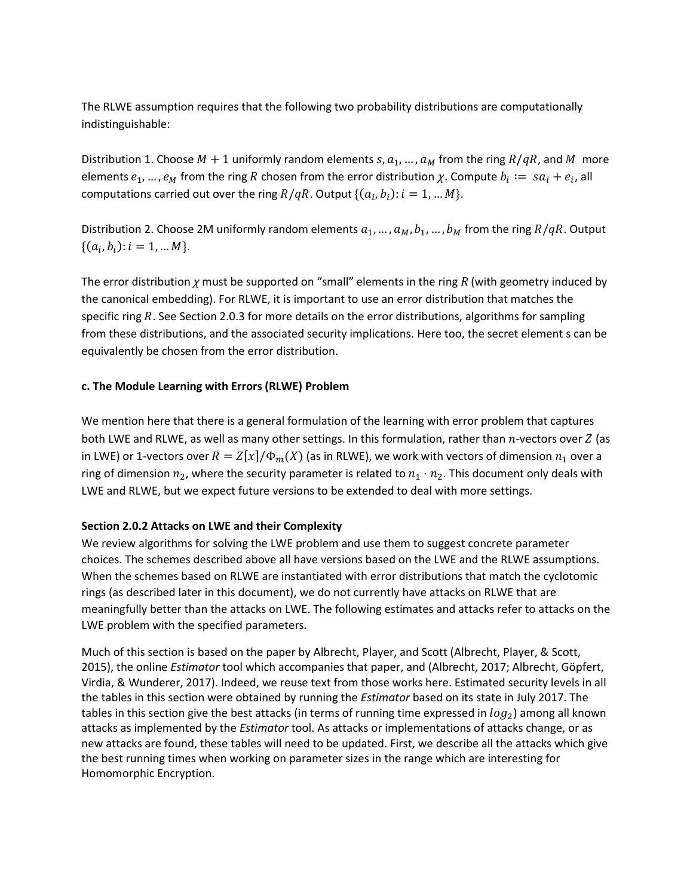The RLWE assumption requires that the following two probability distributions are computationally indistinguishable:

Distribution 1. Choose  $M + 1$  uniformly random elements  $s, a_1, ..., a_M$  from the ring  $R/qR$ , and M more elements  $e_1, ..., e_M$  from the ring R chosen from the error distribution  $\chi$ . Compute  $b_i := \ s a_i + e_i$ , all computations carried out over the ring  $R/qR$ . Output  $\{(a_i, b_i) : i = 1, ... M\}$ .

Distribution 2. Choose 2M uniformly random elements  $a_1, ..., a_M, b_1, ..., b_M$  from the ring  $R/qR$ . Output  $\{(a_i, b_i): i = 1, ... M\}.$ 

The error distribution *χ* must be supported on "small" elements in the ring *R* (with geometry induced by the canonical embedding). For RLWE, it is important to use an error distribution that matches the specific ring  $R$ . See Section 2.0.3 for more details on the error distributions, algorithms for sampling from these distributions, and the associated security implications. Here too, the secret element s can be equivalently be chosen from the error distribution.

### **c. The Module Learning with Errors (RLWE) Problem**

We mention here that there is a general formulation of the learning with error problem that captures both LWE and RLWE, as well as many other settings. In this formulation, rather than  $n$ -vectors over  $Z$  (as in LWE) or 1-vectors over  $R = Z[x]/\Phi_m(X)$  (as in RLWE), we work with vectors of dimension  $n_1$  over a ring of dimension  $n_2$ , where the security parameter is related to  $n_1 \cdot n_2$ . This document only deals with LWE and RLWE, but we expect future versions to be extended to deal with more settings.

### **Section 2.0.2 Attacks on LWE and their Complexity**

We review algorithms for solving the LWE problem and use them to suggest concrete parameter choices. The schemes described above all have versions based on the LWE and the RLWE assumptions. When the schemes based on RLWE are instantiated with error distributions that match the cyclotomic rings (as described later in this document), we do not currently have attacks on RLWE that are meaningfully better than the attacks on LWE. The following estimates and attacks refer to attacks on the LWE problem with the specified parameters.

Much of this section is based on the paper by Albrecht, Player, and Scott (Albrecht, Player, & Scott, 2015), the online *Estimator* tool which accompanies that paper, and (Albrecht, 2017; Albrecht, Göpfert, Virdia, & Wunderer, 2017). Indeed, we reuse text from those works here. Estimated security levels in all the tables in this section were obtained by running the *Estimator* based on its state in July 2017. The tables in this section give the best attacks (in terms of running time expressed in  $log_2$ ) among all known attacks as implemented by the *Estimator* tool. As attacks or implementations of attacks change, or as new attacks are found, these tables will need to be updated. First, we describe all the attacks which give the best running times when working on parameter sizes in the range which are interesting for Homomorphic Encryption.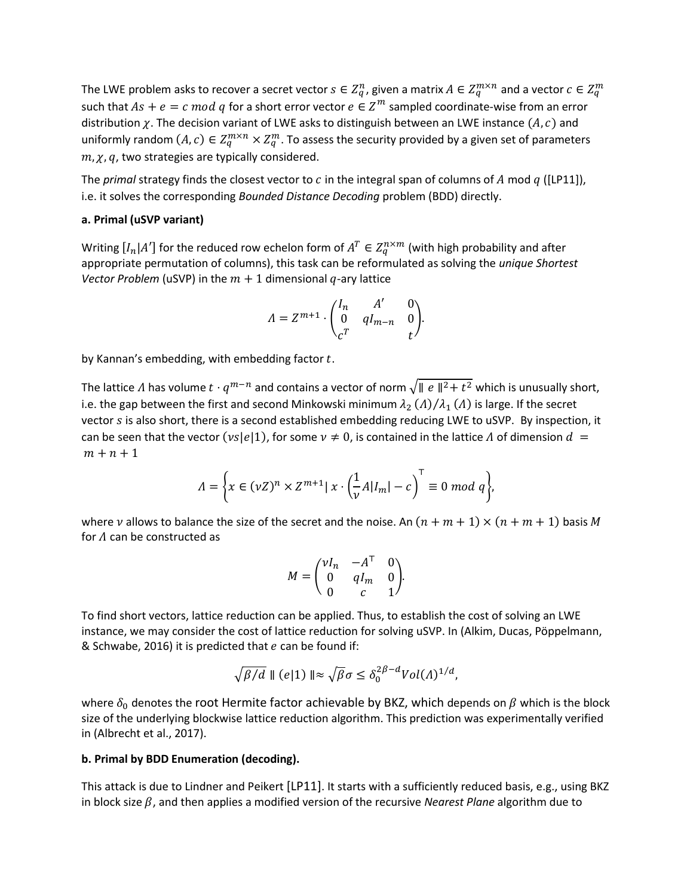The LWE problem asks to recover a secret vector  $s\in Z_q^n$ , given a matrix  $A\in Z_q^{m\times n}$  and a vector  $c\in Z_q^m$ such that  $As + e = c \mod q$  for a short error vector  $e \in \mathbb{Z}^m$  sampled coordinate-wise from an error distribution  $\chi$ . The decision variant of LWE asks to distinguish between an LWE instance  $(A, c)$  and uniformly random  $(A, c) \in Z_q^{m \times n} \times Z_q^m$ . To assess the security provided by a given set of parameters  $m, \chi, q$ , two strategies are typically considered.

The *primal* strategy finds the closest vector to  $c$  in the integral span of columns of  $A$  mod  $q$  ([LP11]), i.e. it solves the corresponding *Bounded Distance Decoding* problem (BDD) directly.

#### **a. Primal (uSVP variant)**

Writing  $[I_n|A']$  for the reduced row echelon form of  $A^T \in Z_q^{n \times m}$  (with high probability and after appropriate permutation of columns), this task can be reformulated as solving the *unique Shortest Vector Problem* (uSVP) in the  $m + 1$  dimensional  $q$ -ary lattice

$$
\varLambda=Z^{m+1}\cdot\begin{pmatrix}I_n&A'&0\\0&qI_{m-n}&0\\c^T&t\end{pmatrix}\!.
$$

by Kannan's embedding, with embedding factor  $t$ .

The lattice  $\Lambda$  has volume  $t\cdot q^{m-n}$  and contains a vector of norm  $\sqrt{\parallel e\parallel^2}+t^2$  which is unusually short, i.e. the gap between the first and second Minkowski minimum  $\lambda_2\left(\varLambda\right)/\lambda_1\left(\varLambda\right)$  is large. If the secret vector  $s$  is also short, there is a second established embedding reducing LWE to uSVP. By inspection, it can be seen that the vector ( $v s |e|1$ ), for some  $v \neq 0$ , is contained in the lattice  $\Lambda$  of dimension  $d =$  $m + n + 1$ 

$$
\Lambda = \bigg\{ x \in (\nu Z)^n \times Z^{m+1} | x \cdot \left( \frac{1}{\nu} A |I_m| - c \right)^{\top} \equiv 0 \bmod q \bigg\},\
$$

where v allows to balance the size of the secret and the noise. An  $(n + m + 1) \times (n + m + 1)$  basis M for  $\Lambda$  can be constructed as

$$
M = \begin{pmatrix} \nu I_n & -A^{\top} & 0 \\ 0 & qI_m & 0 \\ 0 & c & 1 \end{pmatrix}.
$$

To find short vectors, lattice reduction can be applied. Thus, to establish the cost of solving an LWE instance, we may consider the cost of lattice reduction for solving uSVP. In (Alkim, Ducas, Pöppelmann, & Schwabe, 2016) it is predicted that  $e$  can be found if:

$$
\sqrt{\beta/d} \parallel (e|1) \parallel \approx \sqrt{\beta} \sigma \leq \delta_0^{2\beta - d} Vol(\Lambda)^{1/d},
$$

where  $\delta_0$  denotes the root Hermite factor achievable by BKZ, which depends on  $\beta$  which is the block size of the underlying blockwise lattice reduction algorithm. This prediction was experimentally verified in (Albrecht et al., 2017).

#### **b. Primal by BDD Enumeration (decoding).**

This attack is due to Lindner and Peikert [LP11]. It starts with a sufficiently reduced basis, e.g., using BKZ in block size  $\beta$ , and then applies a modified version of the recursive *Nearest Plane* algorithm due to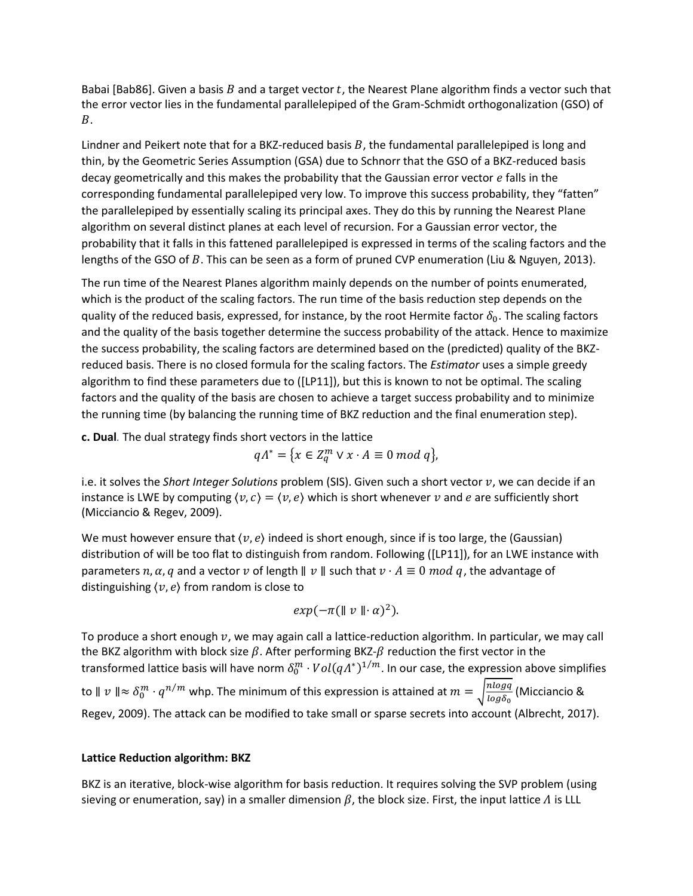Babai [Bab86]. Given a basis B and a target vector t, the Nearest Plane algorithm finds a vector such that the error vector lies in the fundamental parallelepiped of the Gram-Schmidt orthogonalization (GSO) of  $B$ .

Lindner and Peikert note that for a BKZ-reduced basis  $B$ , the fundamental parallelepiped is long and thin, by the Geometric Series Assumption (GSA) due to Schnorr that the GSO of a BKZ-reduced basis decay geometrically and this makes the probability that the Gaussian error vector  $e$  falls in the corresponding fundamental parallelepiped very low. To improve this success probability, they "fatten" the parallelepiped by essentially scaling its principal axes. They do this by running the Nearest Plane algorithm on several distinct planes at each level of recursion. For a Gaussian error vector, the probability that it falls in this fattened parallelepiped is expressed in terms of the scaling factors and the lengths of the GSO of  $B$ . This can be seen as a form of pruned CVP enumeration (Liu & Nguyen, 2013).

The run time of the Nearest Planes algorithm mainly depends on the number of points enumerated, which is the product of the scaling factors. The run time of the basis reduction step depends on the quality of the reduced basis, expressed, for instance, by the root Hermite factor  $\delta_0$ . The scaling factors and the quality of the basis together determine the success probability of the attack. Hence to maximize the success probability, the scaling factors are determined based on the (predicted) quality of the BKZreduced basis. There is no closed formula for the scaling factors. The *Estimator* uses a simple greedy algorithm to find these parameters due to ([LP11]), but this is known to not be optimal. The scaling factors and the quality of the basis are chosen to achieve a target success probability and to minimize the running time (by balancing the running time of BKZ reduction and the final enumeration step).

**c. Dual***.* The dual strategy finds short vectors in the lattice

$$
qA^* = \{x \in Z_q^m \vee x \cdot A \equiv 0 \bmod q\},\
$$

i.e. it solves the *Short Integer Solutions* problem (SIS). Given such a short vector v, we can decide if an instance is LWE by computing  $\langle v, c \rangle = \langle v, e \rangle$  which is short whenever v and e are sufficiently short (Micciancio & Regev, 2009).

We must however ensure that  $\langle v, e \rangle$  indeed is short enough, since if is too large, the (Gaussian) distribution of will be too flat to distinguish from random. Following ([LP11]), for an LWE instance with parameters n,  $\alpha$ , q and a vector v of length  $\parallel v \parallel$  such that  $v \cdot A \equiv 0 \mod q$ , the advantage of distinguishing  $\langle v, e \rangle$  from random is close to

$$
exp(-\pi(\parallel v \parallel \cdot \alpha)^2).
$$

To produce a short enough  $v$ , we may again call a lattice-reduction algorithm. In particular, we may call the BKZ algorithm with block size  $\beta$ . After performing BKZ- $\beta$  reduction the first vector in the transformed lattice basis will have norm  $\delta_0^m\cdot Vol(q\varLambda^*)^{1/m}.$  In our case, the expression above simplifies to  $\parallel v \parallel \approx \delta_0^m \cdot q^{n/m}$  whp. The minimum of this expression is attained at  $m = \sqrt{\frac{n \log q}{\log \delta_0}}$  $\frac{n\log q}{\log \delta_0}$  (Micciancio & Regev, 2009). The attack can be modified to take small or sparse secrets into account (Albrecht, 2017).

### **Lattice Reduction algorithm: BKZ**

BKZ is an iterative, block-wise algorithm for basis reduction. It requires solving the SVP problem (using sieving or enumeration, say) in a smaller dimension  $\beta$ , the block size. First, the input lattice  $\Lambda$  is LLL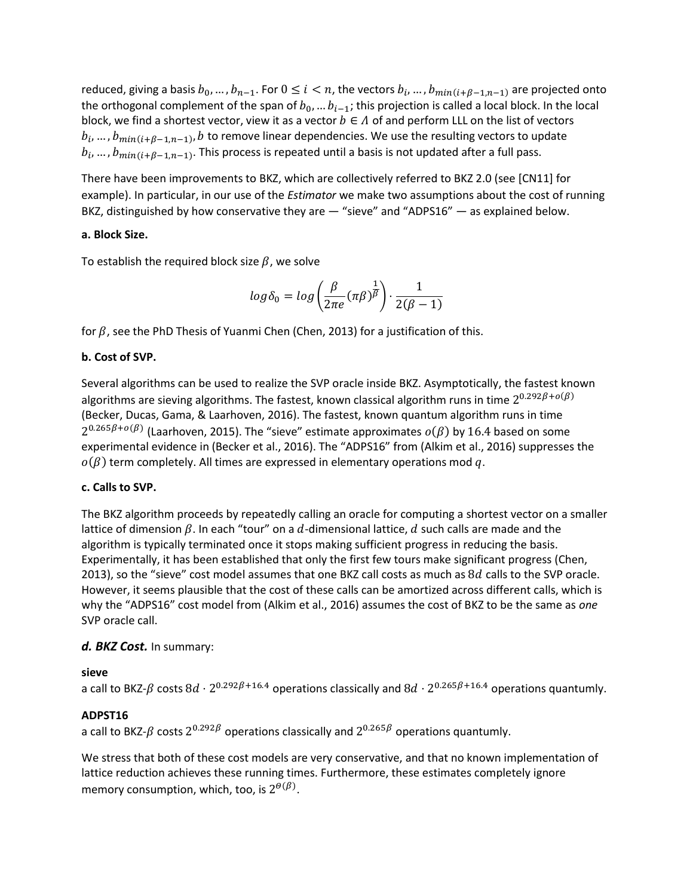reduced, giving a basis  $b_0, ..., b_{n-1}$ . For  $0 \le i < n$ , the vectors  $b_i, ..., b_{min(i+\beta-1,n-1)}$  are projected onto the orthogonal complement of the span of  $b_0$ , ...  $b_{i-1}$ ; this projection is called a local block. In the local block, we find a shortest vector, view it as a vector  $b \in A$  of and perform LLL on the list of vectors  $b_i$ , ...,  $b_{min(i+\beta-1,n-1)}$ , b to remove linear dependencies. We use the resulting vectors to update  $b_i, ..., b_{min(i+\beta-1,n-1)}$ . This process is repeated until a basis is not updated after a full pass.

There have been improvements to BKZ, which are collectively referred to BKZ 2.0 (see [CN11] for example). In particular, in our use of the *Estimator* we make two assumptions about the cost of running BKZ, distinguished by how conservative they are — "sieve" and "ADPS16" — as explained below.

### **a. Block Size.**

To establish the required block size  $\beta$ , we solve

$$
log \delta_0 = log \left( \frac{\beta}{2\pi e} (\pi \beta)^{\frac{1}{\beta}} \right) \cdot \frac{1}{2(\beta - 1)}
$$

for  $\beta$ , see the PhD Thesis of Yuanmi Chen (Chen, 2013) for a justification of this.

### **b. Cost of SVP.**

Several algorithms can be used to realize the SVP oracle inside BKZ. Asymptotically, the fastest known algorithms are sieving algorithms. The fastest, known classical algorithm runs in time  $2^{0.292\beta+o(\beta)}$ (Becker, Ducas, Gama, & Laarhoven, 2016). The fastest, known quantum algorithm runs in time  $2^{0.265\beta+o(\beta)}$  (Laarhoven, 2015). The "sieve" estimate approximates  $o(\beta)$  by 16.4 based on some experimental evidence in (Becker et al., 2016). The "ADPS16" from (Alkim et al., 2016) suppresses the  $o(\beta)$  term completely. All times are expressed in elementary operations mod q.

### **c. Calls to SVP.**

The BKZ algorithm proceeds by repeatedly calling an oracle for computing a shortest vector on a smaller lattice of dimension  $\beta$ . In each "tour" on a d-dimensional lattice, d such calls are made and the algorithm is typically terminated once it stops making sufficient progress in reducing the basis. Experimentally, it has been established that only the first few tours make significant progress (Chen, 2013), so the "sieve" cost model assumes that one BKZ call costs as much as  $8d$  calls to the SVP oracle. However, it seems plausible that the cost of these calls can be amortized across different calls, which is why the "ADPS16" cost model from (Alkim et al., 2016) assumes the cost of BKZ to be the same as *one* SVP oracle call.

### *d. BKZ Cost.* In summary:

### **sieve**

a call to BKZ- $\beta$  costs  $8d\cdot 2^{0.292\beta+16.4}$  operations classically and  $8d\cdot 2^{0.265\beta+16.4}$  operations quantumly.

### **ADPST16**

a call to BKZ- $\beta$  costs  $2^{0.292\beta}$  operations classically and  $2^{0.265\beta}$  operations quantumly.

We stress that both of these cost models are very conservative, and that no known implementation of lattice reduction achieves these running times. Furthermore, these estimates completely ignore memory consumption, which, too, is  $2^{\theta(\beta)}.$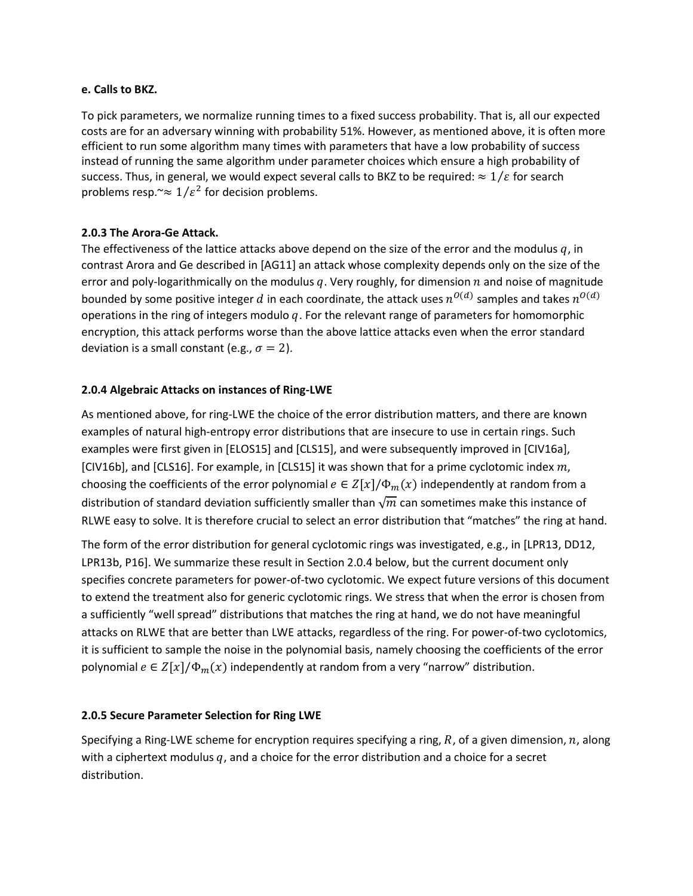#### **e. Calls to BKZ.**

To pick parameters, we normalize running times to a fixed success probability. That is, all our expected costs are for an adversary winning with probability 51%. However, as mentioned above, it is often more efficient to run some algorithm many times with parameters that have a low probability of success instead of running the same algorithm under parameter choices which ensure a high probability of success. Thus, in general, we would expect several calls to BKZ to be required:  $\approx 1/\varepsilon$  for search problems resp.~ $\approx 1/\varepsilon^2$  for decision problems.

### **2.0.3 The Arora-Ge Attack.**

The effectiveness of the lattice attacks above depend on the size of the error and the modulus  $q$ , in contrast Arora and Ge described in [AG11] an attack whose complexity depends only on the size of the error and poly-logarithmically on the modulus  $q$ . Very roughly, for dimension  $n$  and noise of magnitude bounded by some positive integer  $d$  in each coordinate, the attack uses  $n^{O(d)}$  samples and takes  $n^{O(d)}$ operations in the ring of integers modulo  $q$ . For the relevant range of parameters for homomorphic encryption, this attack performs worse than the above lattice attacks even when the error standard deviation is a small constant (e.g.,  $\sigma = 2$ ).

### **2.0.4 Algebraic Attacks on instances of Ring-LWE**

As mentioned above, for ring-LWE the choice of the error distribution matters, and there are known examples of natural high-entropy error distributions that are insecure to use in certain rings. Such examples were first given in [ELOS15] and [CLS15], and were subsequently improved in [CIV16a],  $[CIV16b]$ , and  $[CLS16]$ . For example, in  $[CLS15]$  it was shown that for a prime cyclotomic index  $m$ , choosing the coefficients of the error polynomial  $e \in Z[x]/\Phi_m(x)$  independently at random from a distribution of standard deviation sufficiently smaller than  $\sqrt{m}$  can sometimes make this instance of RLWE easy to solve. It is therefore crucial to select an error distribution that "matches" the ring at hand.

The form of the error distribution for general cyclotomic rings was investigated, e.g., in [LPR13, DD12, LPR13b, P16]. We summarize these result in Section 2.0.4 below, but the current document only specifies concrete parameters for power-of-two cyclotomic. We expect future versions of this document to extend the treatment also for generic cyclotomic rings. We stress that when the error is chosen from a sufficiently "well spread" distributions that matches the ring at hand, we do not have meaningful attacks on RLWE that are better than LWE attacks, regardless of the ring. For power-of-two cyclotomics, it is sufficient to sample the noise in the polynomial basis, namely choosing the coefficients of the error polynomial  $e \in Z[x]/\Phi_m(x)$  independently at random from a very "narrow" distribution.

### **2.0.5 Secure Parameter Selection for Ring LWE**

Specifying a Ring-LWE scheme for encryption requires specifying a ring,  $R$ , of a given dimension,  $n$ , along with a ciphertext modulus  $q$ , and a choice for the error distribution and a choice for a secret distribution.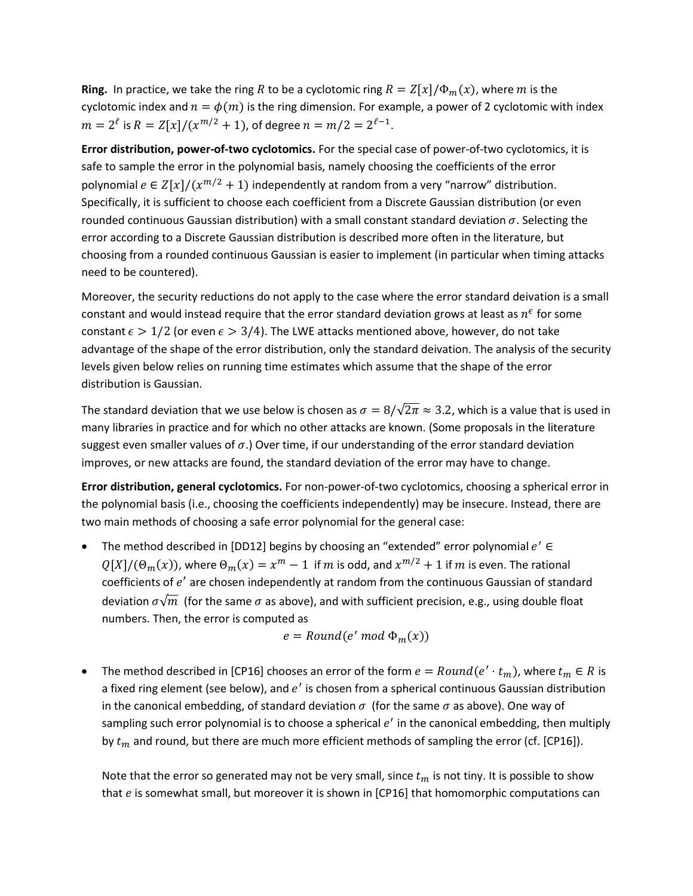**Ring.** In practice, we take the ring R to be a cyclotomic ring  $R = Z[x]/\Phi_m(x)$ , where m is the cyclotomic index and  $n = \phi(m)$  is the ring dimension. For example, a power of 2 cyclotomic with index  $m = 2^{\ell}$  is  $R = Z[x]/(x^{m/2} + 1)$ , of degree  $n = m/2 = 2^{\ell-1}$ .

**Error distribution, power-of-two cyclotomics.** For the special case of power-of-two cyclotomics, it is safe to sample the error in the polynomial basis, namely choosing the coefficients of the error polynomial  $e \in Z[x]/(x^{m/2} + 1)$  independently at random from a very "narrow" distribution. Specifically, it is sufficient to choose each coefficient from a Discrete Gaussian distribution (or even rounded continuous Gaussian distribution) with a small constant standard deviation  $\sigma$ . Selecting the error according to a Discrete Gaussian distribution is described more often in the literature, but choosing from a rounded continuous Gaussian is easier to implement (in particular when timing attacks need to be countered).

Moreover, the security reductions do not apply to the case where the error standard deivation is a small constant and would instead require that the error standard deviation grows at least as  $n^{\epsilon}$  for some constant  $\epsilon > 1/2$  (or even  $\epsilon > 3/4$ ). The LWE attacks mentioned above, however, do not take advantage of the shape of the error distribution, only the standard deivation. The analysis of the security levels given below relies on running time estimates which assume that the shape of the error distribution is Gaussian.

The standard deviation that we use below is chosen as  $\sigma = 8/\sqrt{2\pi} \approx 3.2$ , which is a value that is used in many libraries in practice and for which no other attacks are known. (Some proposals in the literature suggest even smaller values of  $\sigma$ .) Over time, if our understanding of the error standard deviation improves, or new attacks are found, the standard deviation of the error may have to change.

**Error distribution, general cyclotomics.** For non-power-of-two cyclotomics, choosing a spherical error in the polynomial basis (i.e., choosing the coefficients independently) may be insecure. Instead, there are two main methods of choosing a safe error polynomial for the general case:

• The method described in [DD12] begins by choosing an "extended" error polynomial  $e' \in$  $Q[X]/(\Theta_m(x))$ , where  $\Theta_m(x) = x^m - 1$  if m is odd, and  $x^{m/2} + 1$  if m is even. The rational coefficients of  $e'$  are chosen independently at random from the continuous Gaussian of standard deviation  $\sigma\sqrt{m}$  (for the same  $\sigma$  as above), and with sufficient precision, e.g., using double float numbers. Then, the error is computed as

$$
e = Round(e' \bmod \Phi_m(x))
$$

• The method described in [CP16] chooses an error of the form  $e = Round(e' \cdot t_m)$ , where  $t_m \in R$  is a fixed ring element (see below), and  $e'$  is chosen from a spherical continuous Gaussian distribution in the canonical embedding, of standard deviation  $\sigma$  (for the same  $\sigma$  as above). One way of sampling such error polynomial is to choose a spherical  $e'$  in the canonical embedding, then multiply by  $t_m$  and round, but there are much more efficient methods of sampling the error (cf. [CP16]).

Note that the error so generated may not be very small, since  $t_m$  is not tiny. It is possible to show that  $e$  is somewhat small, but moreover it is shown in [CP16] that homomorphic computations can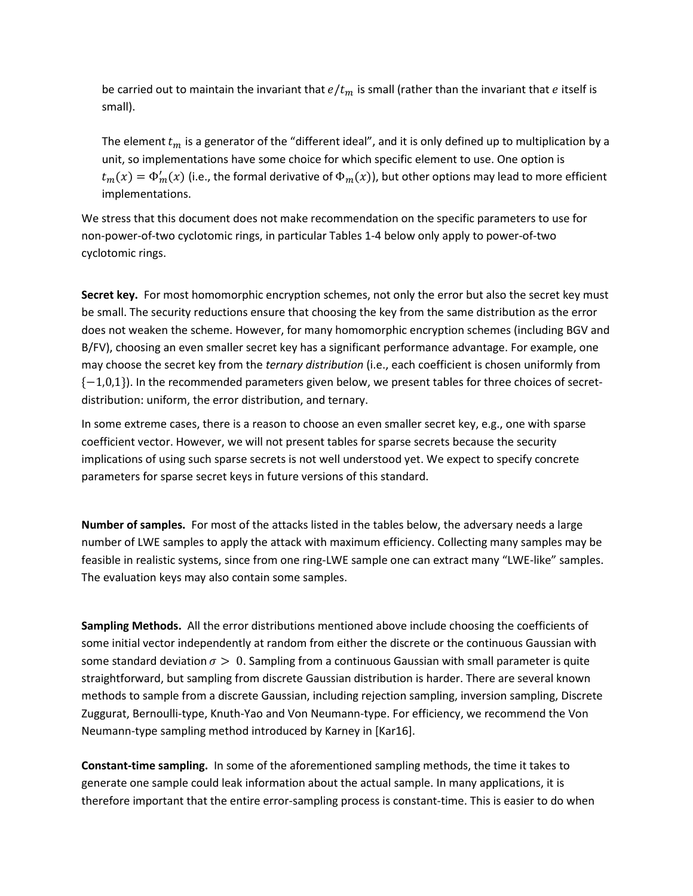be carried out to maintain the invariant that  $e/t_m$  is small (rather than the invariant that e itself is small).

The element  $t_m$  is a generator of the "different ideal", and it is only defined up to multiplication by a unit, so implementations have some choice for which specific element to use. One option is  $t_m(x) = \Phi_m'(x)$  (i.e., the formal derivative of  $\Phi_m(x)$ ), but other options may lead to more efficient implementations.

We stress that this document does not make recommendation on the specific parameters to use for non-power-of-two cyclotomic rings, in particular Tables 1-4 below only apply to power-of-two cyclotomic rings.

**Secret key.** For most homomorphic encryption schemes, not only the error but also the secret key must be small. The security reductions ensure that choosing the key from the same distribution as the error does not weaken the scheme. However, for many homomorphic encryption schemes (including BGV and B/FV), choosing an even smaller secret key has a significant performance advantage. For example, one may choose the secret key from the *ternary distribution* (i.e., each coefficient is chosen uniformly from  ${-1,0,1}$ ). In the recommended parameters given below, we present tables for three choices of secretdistribution: uniform, the error distribution, and ternary.

In some extreme cases, there is a reason to choose an even smaller secret key, e.g., one with sparse coefficient vector. However, we will not present tables for sparse secrets because the security implications of using such sparse secrets is not well understood yet. We expect to specify concrete parameters for sparse secret keys in future versions of this standard.

**Number of samples.** For most of the attacks listed in the tables below, the adversary needs a large number of LWE samples to apply the attack with maximum efficiency. Collecting many samples may be feasible in realistic systems, since from one ring-LWE sample one can extract many "LWE-like" samples. The evaluation keys may also contain some samples.

**Sampling Methods.** All the error distributions mentioned above include choosing the coefficients of some initial vector independently at random from either the discrete or the continuous Gaussian with some standard deviation  $\sigma > 0$ . Sampling from a continuous Gaussian with small parameter is quite straightforward, but sampling from discrete Gaussian distribution is harder. There are several known methods to sample from a discrete Gaussian, including rejection sampling, inversion sampling, Discrete Zuggurat, Bernoulli-type, Knuth-Yao and Von Neumann-type. For efficiency, we recommend the Von Neumann-type sampling method introduced by Karney in [Kar16].

**Constant-time sampling.** In some of the aforementioned sampling methods, the time it takes to generate one sample could leak information about the actual sample. In many applications, it is therefore important that the entire error-sampling process is constant-time. This is easier to do when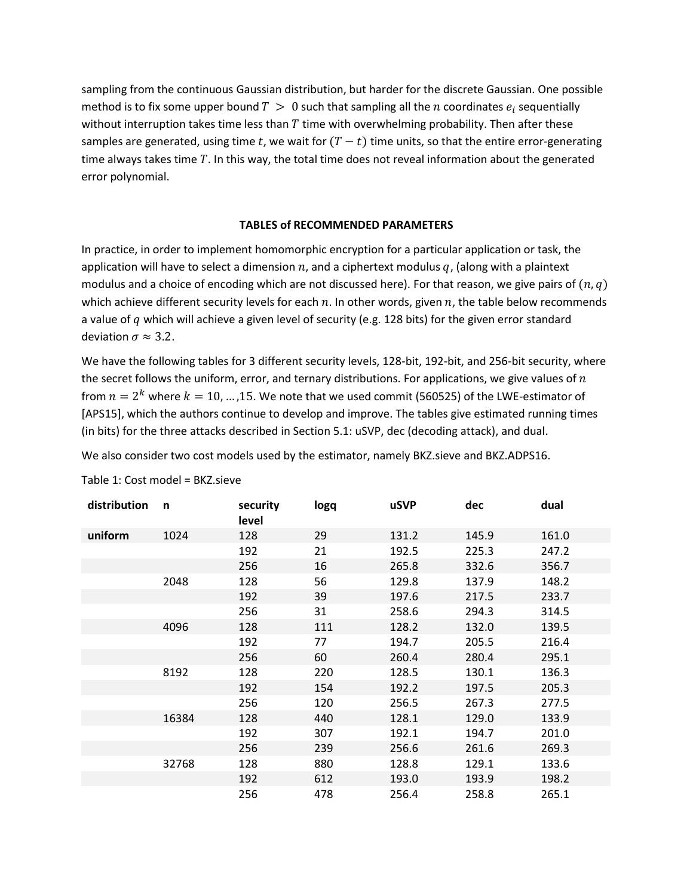sampling from the continuous Gaussian distribution, but harder for the discrete Gaussian. One possible method is to fix some upper bound  $T > 0$  such that sampling all the  $n$  coordinates  $e_i$  sequentially without interruption takes time less than  $T$  time with overwhelming probability. Then after these samples are generated, using time t, we wait for  $(T - t)$  time units, so that the entire error-generating time always takes time  $T$ . In this way, the total time does not reveal information about the generated error polynomial.

#### **TABLES of RECOMMENDED PARAMETERS**

In practice, in order to implement homomorphic encryption for a particular application or task, the application will have to select a dimension  $n$ , and a ciphertext modulus  $q$ , (along with a plaintext modulus and a choice of encoding which are not discussed here). For that reason, we give pairs of  $(n, q)$ which achieve different security levels for each  $n$ . In other words, given  $n$ , the table below recommends a value of q which will achieve a given level of security (e.g. 128 bits) for the given error standard deviation  $\sigma \approx 3.2$ .

We have the following tables for 3 different security levels, 128-bit, 192-bit, and 256-bit security, where the secret follows the uniform, error, and ternary distributions. For applications, we give values of  $n$ from  $n=2^k$  where  $k=10,...,15.$  We note that we used commit (560525) of the LWE-estimator of [APS15], which the authors continue to develop and improve. The tables give estimated running times (in bits) for the three attacks described in Section 5.1: uSVP, dec (decoding attack), and dual.

We also consider two cost models used by the estimator, namely BKZ.sieve and BKZ.ADPS16.

| distribution | n     | security<br>level | logq | <b>uSVP</b> | dec   | dual  |
|--------------|-------|-------------------|------|-------------|-------|-------|
| uniform      | 1024  | 128               | 29   | 131.2       | 145.9 | 161.0 |
|              |       | 192               | 21   | 192.5       | 225.3 | 247.2 |
|              |       | 256               | 16   | 265.8       | 332.6 | 356.7 |
|              | 2048  | 128               | 56   | 129.8       | 137.9 | 148.2 |
|              |       | 192               | 39   | 197.6       | 217.5 | 233.7 |
|              |       | 256               | 31   | 258.6       | 294.3 | 314.5 |
|              | 4096  | 128               | 111  | 128.2       | 132.0 | 139.5 |
|              |       | 192               | 77   | 194.7       | 205.5 | 216.4 |
|              |       | 256               | 60   | 260.4       | 280.4 | 295.1 |
|              | 8192  | 128               | 220  | 128.5       | 130.1 | 136.3 |
|              |       | 192               | 154  | 192.2       | 197.5 | 205.3 |
|              |       | 256               | 120  | 256.5       | 267.3 | 277.5 |
|              | 16384 | 128               | 440  | 128.1       | 129.0 | 133.9 |
|              |       | 192               | 307  | 192.1       | 194.7 | 201.0 |
|              |       | 256               | 239  | 256.6       | 261.6 | 269.3 |
|              | 32768 | 128               | 880  | 128.8       | 129.1 | 133.6 |
|              |       | 192               | 612  | 193.0       | 193.9 | 198.2 |
|              |       | 256               | 478  | 256.4       | 258.8 | 265.1 |

Table 1: Cost model = BKZ.sieve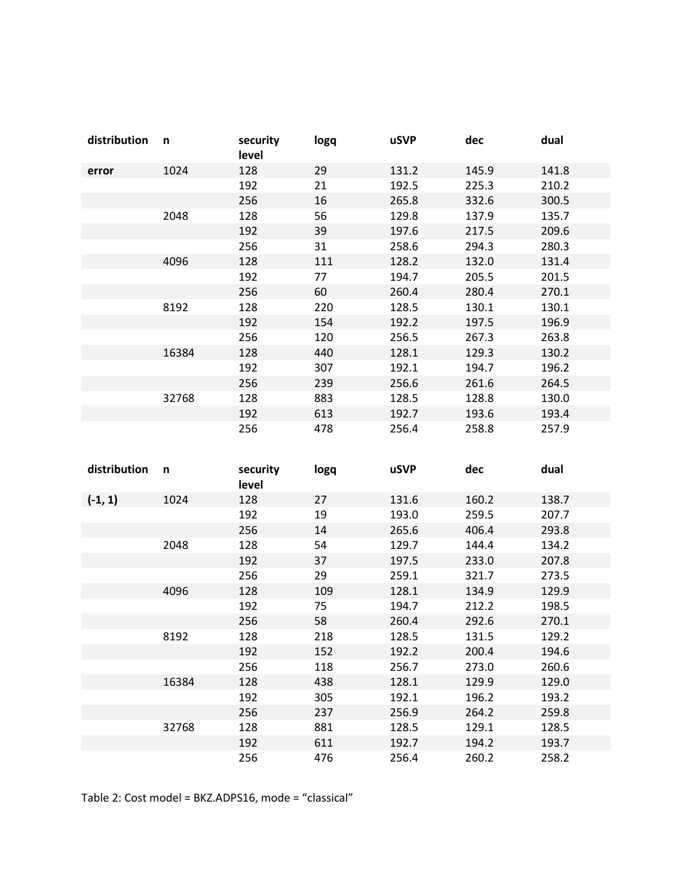| distribution | n     | security<br>level | logq | <b>uSVP</b> | dec   | dual  |
|--------------|-------|-------------------|------|-------------|-------|-------|
| error        | 1024  | 128               | 29   | 131.2       | 145.9 | 141.8 |
|              |       | 192               | 21   | 192.5       | 225.3 | 210.2 |
|              |       | 256               | 16   | 265.8       | 332.6 | 300.5 |
|              | 2048  | 128               | 56   | 129.8       | 137.9 | 135.7 |
|              |       | 192               | 39   | 197.6       | 217.5 | 209.6 |
|              |       | 256               | 31   | 258.6       | 294.3 | 280.3 |
|              | 4096  | 128               | 111  | 128.2       | 132.0 | 131.4 |
|              |       | 192               | 77   | 194.7       | 205.5 | 201.5 |
|              |       | 256               | 60   | 260.4       | 280.4 | 270.1 |
|              | 8192  | 128               | 220  | 128.5       | 130.1 | 130.1 |
|              |       | 192               | 154  | 192.2       | 197.5 | 196.9 |
|              |       | 256               | 120  | 256.5       | 267.3 | 263.8 |
|              | 16384 | 128               | 440  | 128.1       | 129.3 | 130.2 |
|              |       | 192               | 307  | 192.1       | 194.7 | 196.2 |
|              |       | 256               | 239  | 256.6       | 261.6 | 264.5 |
|              | 32768 | 128               | 883  | 128.5       | 128.8 | 130.0 |
|              |       | 192               | 613  | 192.7       | 193.6 | 193.4 |
|              |       | 256               | 478  | 256.4       | 258.8 | 257.9 |

| distribution | n     | security<br>level | logq | <b>uSVP</b> | dec   | dual  |
|--------------|-------|-------------------|------|-------------|-------|-------|
| $(-1, 1)$    | 1024  | 128               | 27   | 131.6       | 160.2 | 138.7 |
|              |       | 192               | 19   | 193.0       | 259.5 | 207.7 |
|              |       | 256               | 14   | 265.6       | 406.4 | 293.8 |
|              | 2048  | 128               | 54   | 129.7       | 144.4 | 134.2 |
|              |       | 192               | 37   | 197.5       | 233.0 | 207.8 |
|              |       | 256               | 29   | 259.1       | 321.7 | 273.5 |
|              | 4096  | 128               | 109  | 128.1       | 134.9 | 129.9 |
|              |       | 192               | 75   | 194.7       | 212.2 | 198.5 |
|              |       | 256               | 58   | 260.4       | 292.6 | 270.1 |
|              | 8192  | 128               | 218  | 128.5       | 131.5 | 129.2 |
|              |       | 192               | 152  | 192.2       | 200.4 | 194.6 |
|              |       | 256               | 118  | 256.7       | 273.0 | 260.6 |
|              | 16384 | 128               | 438  | 128.1       | 129.9 | 129.0 |
|              |       | 192               | 305  | 192.1       | 196.2 | 193.2 |
|              |       | 256               | 237  | 256.9       | 264.2 | 259.8 |
|              | 32768 | 128               | 881  | 128.5       | 129.1 | 128.5 |
|              |       | 192               | 611  | 192.7       | 194.2 | 193.7 |
|              |       | 256               | 476  | 256.4       | 260.2 | 258.2 |

Table 2: Cost model = BKZ.ADPS16, mode = "classical"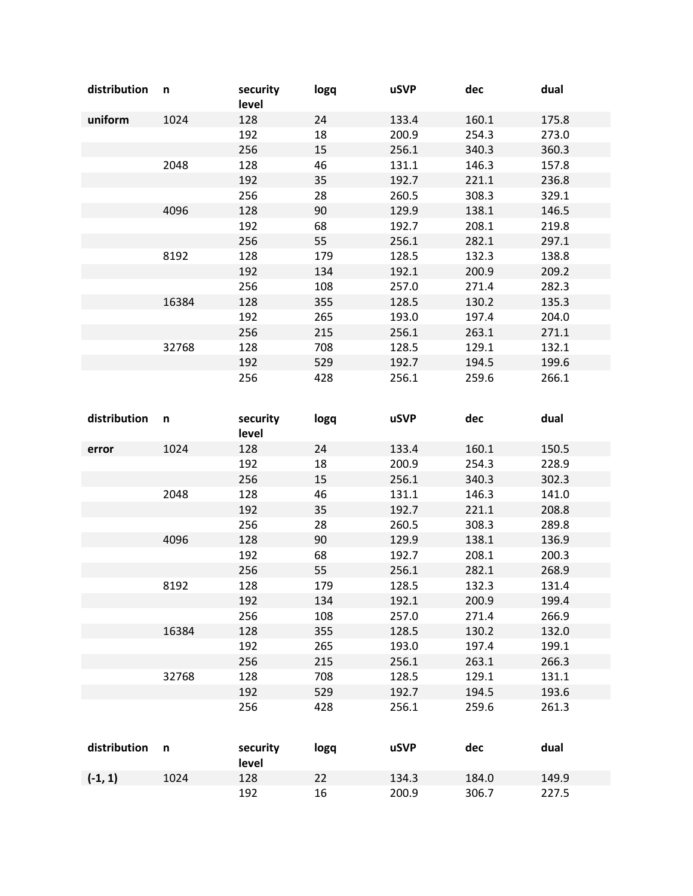| distribution | n     | security<br>level | logq | <b>uSVP</b> | dec   | dual  |
|--------------|-------|-------------------|------|-------------|-------|-------|
| uniform      | 1024  | 128               | 24   | 133.4       | 160.1 | 175.8 |
|              |       | 192               | 18   | 200.9       | 254.3 | 273.0 |
|              |       | 256               | 15   | 256.1       | 340.3 | 360.3 |
|              | 2048  | 128               | 46   | 131.1       | 146.3 | 157.8 |
|              |       | 192               | 35   | 192.7       | 221.1 | 236.8 |
|              |       | 256               | 28   | 260.5       | 308.3 | 329.1 |
|              | 4096  | 128               | 90   | 129.9       | 138.1 | 146.5 |
|              |       | 192               | 68   | 192.7       | 208.1 | 219.8 |
|              |       | 256               | 55   | 256.1       | 282.1 | 297.1 |
|              | 8192  | 128               | 179  | 128.5       | 132.3 | 138.8 |
|              |       | 192               | 134  | 192.1       | 200.9 | 209.2 |
|              |       | 256               | 108  | 257.0       | 271.4 | 282.3 |
|              | 16384 | 128               | 355  | 128.5       | 130.2 | 135.3 |
|              |       | 192               | 265  | 193.0       | 197.4 | 204.0 |
|              |       | 256               | 215  | 256.1       | 263.1 | 271.1 |
|              | 32768 | 128               | 708  | 128.5       | 129.1 | 132.1 |
|              |       | 192               | 529  | 192.7       | 194.5 | 199.6 |
|              |       | 256               | 428  | 256.1       | 259.6 | 266.1 |

| distribution | n            | security<br>level | logq | <b>uSVP</b> | dec   | dual  |
|--------------|--------------|-------------------|------|-------------|-------|-------|
| error        | 1024         | 128               | 24   | 133.4       | 160.1 | 150.5 |
|              |              | 192               | 18   | 200.9       | 254.3 | 228.9 |
|              |              | 256               | 15   | 256.1       | 340.3 | 302.3 |
|              | 2048         | 128               | 46   | 131.1       | 146.3 | 141.0 |
|              |              | 192               | 35   | 192.7       | 221.1 | 208.8 |
|              |              | 256               | 28   | 260.5       | 308.3 | 289.8 |
|              | 4096         | 128               | 90   | 129.9       | 138.1 | 136.9 |
|              |              | 192               | 68   | 192.7       | 208.1 | 200.3 |
|              |              | 256               | 55   | 256.1       | 282.1 | 268.9 |
|              | 8192         | 128               | 179  | 128.5       | 132.3 | 131.4 |
|              |              | 192               | 134  | 192.1       | 200.9 | 199.4 |
|              |              | 256               | 108  | 257.0       | 271.4 | 266.9 |
|              | 16384        | 128               | 355  | 128.5       | 130.2 | 132.0 |
|              |              | 192               | 265  | 193.0       | 197.4 | 199.1 |
|              |              | 256               | 215  | 256.1       | 263.1 | 266.3 |
|              | 32768        | 128               | 708  | 128.5       | 129.1 | 131.1 |
|              |              | 192               | 529  | 192.7       | 194.5 | 193.6 |
|              |              | 256               | 428  | 256.1       | 259.6 | 261.3 |
| distribution | $\mathsf{n}$ | security<br>level | logq | uSVP        | dec   | dual  |
| $(-1, 1)$    | 1024         | 128               | 22   | 134.3       | 184.0 | 149.9 |
|              |              | 192               | 16   | 200.9       | 306.7 | 227.5 |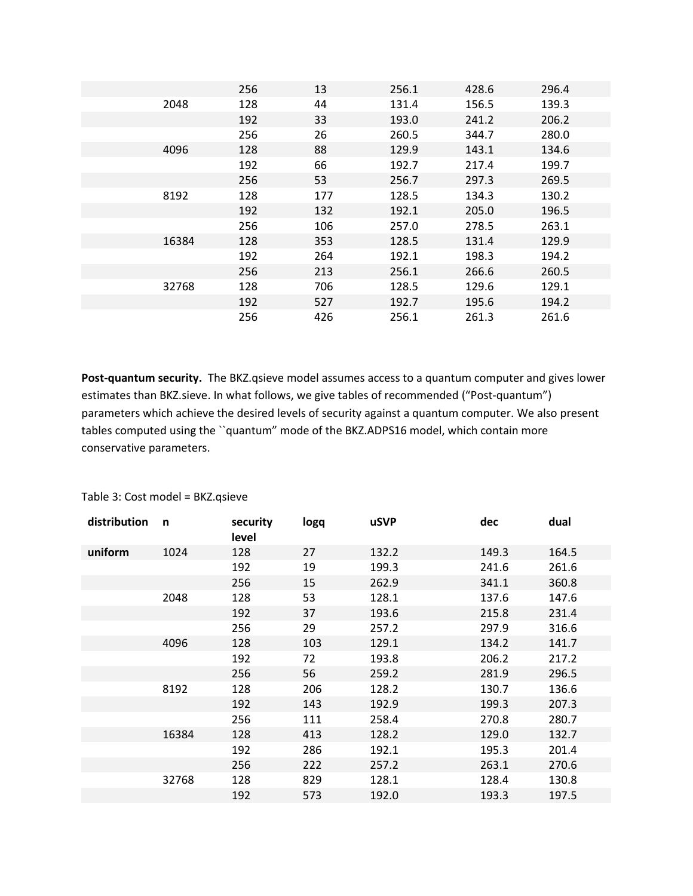|       | 256 | 13  | 256.1 | 428.6 | 296.4 |
|-------|-----|-----|-------|-------|-------|
| 2048  | 128 | 44  | 131.4 | 156.5 | 139.3 |
|       | 192 | 33  | 193.0 | 241.2 | 206.2 |
|       | 256 | 26  | 260.5 | 344.7 | 280.0 |
| 4096  | 128 | 88  | 129.9 | 143.1 | 134.6 |
|       | 192 | 66  | 192.7 | 217.4 | 199.7 |
|       | 256 | 53  | 256.7 | 297.3 | 269.5 |
| 8192  | 128 | 177 | 128.5 | 134.3 | 130.2 |
|       | 192 | 132 | 192.1 | 205.0 | 196.5 |
|       | 256 | 106 | 257.0 | 278.5 | 263.1 |
| 16384 | 128 | 353 | 128.5 | 131.4 | 129.9 |
|       | 192 | 264 | 192.1 | 198.3 | 194.2 |
|       | 256 | 213 | 256.1 | 266.6 | 260.5 |
| 32768 | 128 | 706 | 128.5 | 129.6 | 129.1 |
|       | 192 | 527 | 192.7 | 195.6 | 194.2 |
|       | 256 | 426 | 256.1 | 261.3 | 261.6 |

**Post-quantum security.** The BKZ.qsieve model assumes access to a quantum computer and gives lower estimates than BKZ.sieve. In what follows, we give tables of recommended ("Post-quantum") parameters which achieve the desired levels of security against a quantum computer. We also present tables computed using the ``quantum" mode of the BKZ.ADPS16 model, which contain more conservative parameters.

| distribution | n     | security<br>level | logq | <b>uSVP</b> | dec   | dual  |
|--------------|-------|-------------------|------|-------------|-------|-------|
| uniform      | 1024  | 128               | 27   | 132.2       | 149.3 | 164.5 |
|              |       | 192               | 19   | 199.3       | 241.6 | 261.6 |
|              |       | 256               | 15   | 262.9       | 341.1 | 360.8 |
|              | 2048  | 128               | 53   | 128.1       | 137.6 | 147.6 |
|              |       | 192               | 37   | 193.6       | 215.8 | 231.4 |
|              |       | 256               | 29   | 257.2       | 297.9 | 316.6 |
|              | 4096  | 128               | 103  | 129.1       | 134.2 | 141.7 |
|              |       | 192               | 72   | 193.8       | 206.2 | 217.2 |
|              |       | 256               | 56   | 259.2       | 281.9 | 296.5 |
|              | 8192  | 128               | 206  | 128.2       | 130.7 | 136.6 |
|              |       | 192               | 143  | 192.9       | 199.3 | 207.3 |
|              |       | 256               | 111  | 258.4       | 270.8 | 280.7 |
|              | 16384 | 128               | 413  | 128.2       | 129.0 | 132.7 |
|              |       | 192               | 286  | 192.1       | 195.3 | 201.4 |
|              |       | 256               | 222  | 257.2       | 263.1 | 270.6 |
|              | 32768 | 128               | 829  | 128.1       | 128.4 | 130.8 |
|              |       | 192               | 573  | 192.0       | 193.3 | 197.5 |

Table 3: Cost model = BKZ.qsieve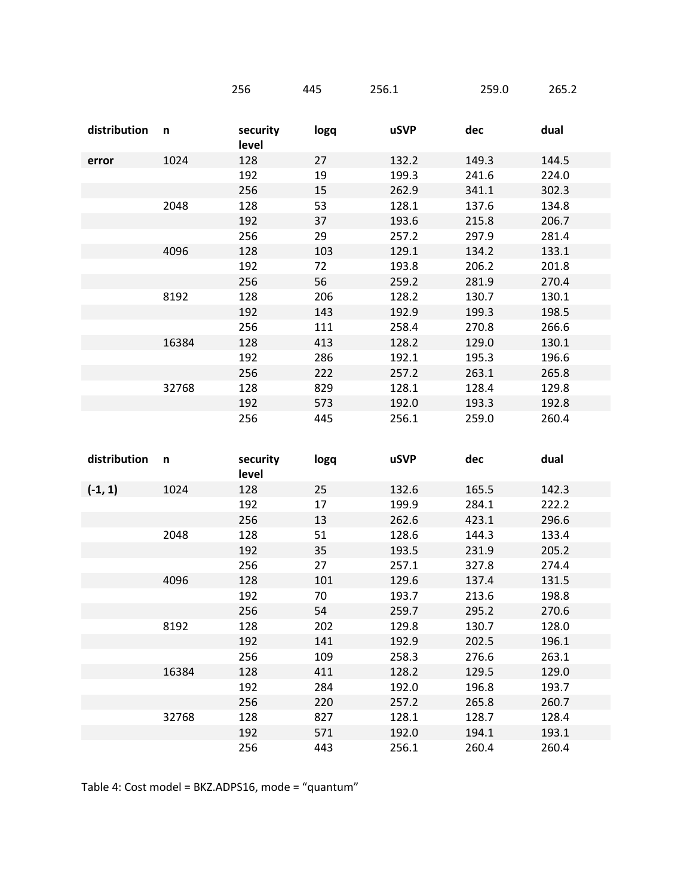|              |       | 256               | 445  | 256.1       | 259.0 | 265.2 |
|--------------|-------|-------------------|------|-------------|-------|-------|
| distribution | n     | security<br>level | logq | <b>uSVP</b> | dec   | dual  |
| error        | 1024  | 128               | 27   | 132.2       | 149.3 | 144.5 |
|              |       | 192               | 19   | 199.3       | 241.6 | 224.0 |
|              |       | 256               | 15   | 262.9       | 341.1 | 302.3 |
|              | 2048  | 128               | 53   | 128.1       | 137.6 | 134.8 |
|              |       | 192               | 37   | 193.6       | 215.8 | 206.7 |
|              |       | 256               | 29   | 257.2       | 297.9 | 281.4 |
|              | 4096  | 128               | 103  | 129.1       | 134.2 | 133.1 |
|              |       | 192               | 72   | 193.8       | 206.2 | 201.8 |
|              |       | 256               | 56   | 259.2       | 281.9 | 270.4 |
|              | 8192  | 128               | 206  | 128.2       | 130.7 | 130.1 |
|              |       | 192               | 143  | 192.9       | 199.3 | 198.5 |
|              |       | 256               | 111  | 258.4       | 270.8 | 266.6 |
|              | 16384 | 128               | 413  | 128.2       | 129.0 | 130.1 |
|              |       | 192               | 286  | 192.1       | 195.3 | 196.6 |
|              |       | 256               | 222  | 257.2       | 263.1 | 265.8 |
|              | 32768 | 128               | 829  | 128.1       | 128.4 | 129.8 |
|              |       | 192               | 573  | 192.0       | 193.3 | 192.8 |
|              |       | 256               | 445  | 256.1       | 259.0 | 260.4 |

| distribution | n     | security<br>level | logq | uSVP  | dec   | dual  |
|--------------|-------|-------------------|------|-------|-------|-------|
| $(-1, 1)$    | 1024  | 128               | 25   | 132.6 | 165.5 | 142.3 |
|              |       | 192               | 17   | 199.9 | 284.1 | 222.2 |
|              |       | 256               | 13   | 262.6 | 423.1 | 296.6 |
|              | 2048  | 128               | 51   | 128.6 | 144.3 | 133.4 |
|              |       | 192               | 35   | 193.5 | 231.9 | 205.2 |
|              |       | 256               | 27   | 257.1 | 327.8 | 274.4 |
|              | 4096  | 128               | 101  | 129.6 | 137.4 | 131.5 |
|              |       | 192               | 70   | 193.7 | 213.6 | 198.8 |
|              |       | 256               | 54   | 259.7 | 295.2 | 270.6 |
|              | 8192  | 128               | 202  | 129.8 | 130.7 | 128.0 |
|              |       | 192               | 141  | 192.9 | 202.5 | 196.1 |
|              |       | 256               | 109  | 258.3 | 276.6 | 263.1 |
|              | 16384 | 128               | 411  | 128.2 | 129.5 | 129.0 |
|              |       | 192               | 284  | 192.0 | 196.8 | 193.7 |
|              |       | 256               | 220  | 257.2 | 265.8 | 260.7 |
|              | 32768 | 128               | 827  | 128.1 | 128.7 | 128.4 |
|              |       | 192               | 571  | 192.0 | 194.1 | 193.1 |
|              |       | 256               | 443  | 256.1 | 260.4 | 260.4 |

Table 4: Cost model = BKZ.ADPS16, mode = "quantum"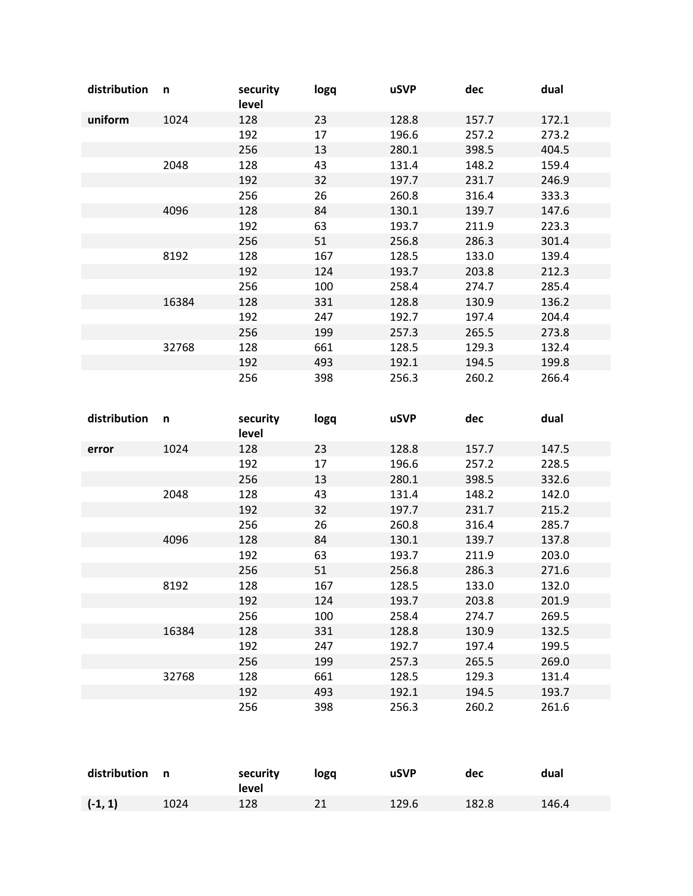| distribution | n     | security<br>level | logq | <b>uSVP</b> | dec   | dual  |
|--------------|-------|-------------------|------|-------------|-------|-------|
| uniform      | 1024  | 128               | 23   | 128.8       | 157.7 | 172.1 |
|              |       | 192               | 17   | 196.6       | 257.2 | 273.2 |
|              |       | 256               | 13   | 280.1       | 398.5 | 404.5 |
|              | 2048  | 128               | 43   | 131.4       | 148.2 | 159.4 |
|              |       | 192               | 32   | 197.7       | 231.7 | 246.9 |
|              |       | 256               | 26   | 260.8       | 316.4 | 333.3 |
|              | 4096  | 128               | 84   | 130.1       | 139.7 | 147.6 |
|              |       | 192               | 63   | 193.7       | 211.9 | 223.3 |
|              |       | 256               | 51   | 256.8       | 286.3 | 301.4 |
|              | 8192  | 128               | 167  | 128.5       | 133.0 | 139.4 |
|              |       | 192               | 124  | 193.7       | 203.8 | 212.3 |
|              |       | 256               | 100  | 258.4       | 274.7 | 285.4 |
|              | 16384 | 128               | 331  | 128.8       | 130.9 | 136.2 |
|              |       | 192               | 247  | 192.7       | 197.4 | 204.4 |
|              |       | 256               | 199  | 257.3       | 265.5 | 273.8 |
|              | 32768 | 128               | 661  | 128.5       | 129.3 | 132.4 |
|              |       | 192               | 493  | 192.1       | 194.5 | 199.8 |
|              |       | 256               | 398  | 256.3       | 260.2 | 266.4 |

| distribution | n     | security<br>level | logq | uSVP  | dec   | dual  |
|--------------|-------|-------------------|------|-------|-------|-------|
| error        | 1024  | 128               | 23   | 128.8 | 157.7 | 147.5 |
|              |       | 192               | 17   | 196.6 | 257.2 | 228.5 |
|              |       | 256               | 13   | 280.1 | 398.5 | 332.6 |
|              | 2048  | 128               | 43   | 131.4 | 148.2 | 142.0 |
|              |       | 192               | 32   | 197.7 | 231.7 | 215.2 |
|              |       | 256               | 26   | 260.8 | 316.4 | 285.7 |
|              | 4096  | 128               | 84   | 130.1 | 139.7 | 137.8 |
|              |       | 192               | 63   | 193.7 | 211.9 | 203.0 |
|              |       | 256               | 51   | 256.8 | 286.3 | 271.6 |
|              | 8192  | 128               | 167  | 128.5 | 133.0 | 132.0 |
|              |       | 192               | 124  | 193.7 | 203.8 | 201.9 |
|              |       | 256               | 100  | 258.4 | 274.7 | 269.5 |
|              | 16384 | 128               | 331  | 128.8 | 130.9 | 132.5 |
|              |       | 192               | 247  | 192.7 | 197.4 | 199.5 |
|              |       | 256               | 199  | 257.3 | 265.5 | 269.0 |
|              | 32768 | 128               | 661  | 128.5 | 129.3 | 131.4 |
|              |       | 192               | 493  | 192.1 | 194.5 | 193.7 |
|              |       | 256               | 398  | 256.3 | 260.2 | 261.6 |

| distribution n |      | security<br>level | logg | uSVP  | dec   | dual  |
|----------------|------|-------------------|------|-------|-------|-------|
| $(-1, 1)$      | 1024 | 128               |      | 129.6 | 182.8 | 146.4 |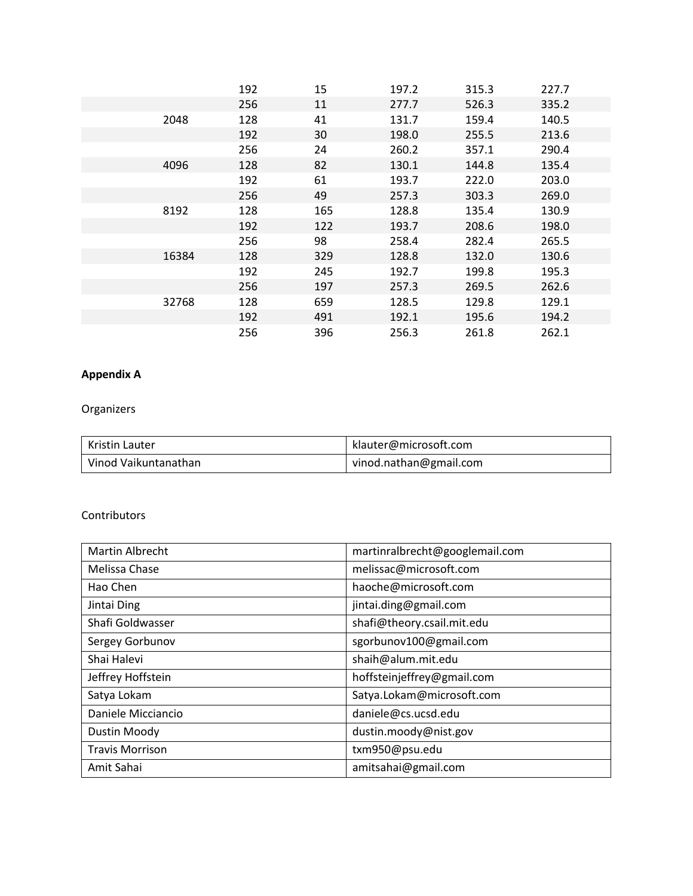|       | 192 | 15  | 197.2 | 315.3 | 227.7 |
|-------|-----|-----|-------|-------|-------|
|       | 256 | 11  | 277.7 | 526.3 | 335.2 |
| 2048  | 128 | 41  | 131.7 | 159.4 | 140.5 |
|       | 192 | 30  | 198.0 | 255.5 | 213.6 |
|       | 256 | 24  | 260.2 | 357.1 | 290.4 |
| 4096  | 128 | 82  | 130.1 | 144.8 | 135.4 |
|       | 192 | 61  | 193.7 | 222.0 | 203.0 |
|       | 256 | 49  | 257.3 | 303.3 | 269.0 |
| 8192  | 128 | 165 | 128.8 | 135.4 | 130.9 |
|       | 192 | 122 | 193.7 | 208.6 | 198.0 |
|       | 256 | 98  | 258.4 | 282.4 | 265.5 |
| 16384 | 128 | 329 | 128.8 | 132.0 | 130.6 |
|       | 192 | 245 | 192.7 | 199.8 | 195.3 |
|       | 256 | 197 | 257.3 | 269.5 | 262.6 |
| 32768 | 128 | 659 | 128.5 | 129.8 | 129.1 |
|       | 192 | 491 | 192.1 | 195.6 | 194.2 |
|       | 256 | 396 | 256.3 | 261.8 | 262.1 |

# **Appendix A**

# Organizers

| Kristin Lauter       | klauter@microsoft.com  |
|----------------------|------------------------|
| Vinod Vaikuntanathan | vinod.nathan@gmail.com |

### Contributors

| <b>Martin Albrecht</b> | martinralbrecht@googlemail.com |
|------------------------|--------------------------------|
| Melissa Chase          | melissac@microsoft.com         |
| Hao Chen               | haoche@microsoft.com           |
| Jintai Ding            | jintai.ding@gmail.com          |
| Shafi Goldwasser       | shafi@theory.csail.mit.edu     |
| Sergey Gorbunov        | sgorbunov100@gmail.com         |
| Shai Halevi            | shaih@alum.mit.edu             |
| Jeffrey Hoffstein      | hoffsteinjeffrey@gmail.com     |
| Satya Lokam            | Satya.Lokam@microsoft.com      |
| Daniele Micciancio     | daniele@cs.ucsd.edu            |
| Dustin Moody           | dustin.moody@nist.gov          |
| <b>Travis Morrison</b> | txm950@psu.edu                 |
| Amit Sahai             | amitsahai@gmail.com            |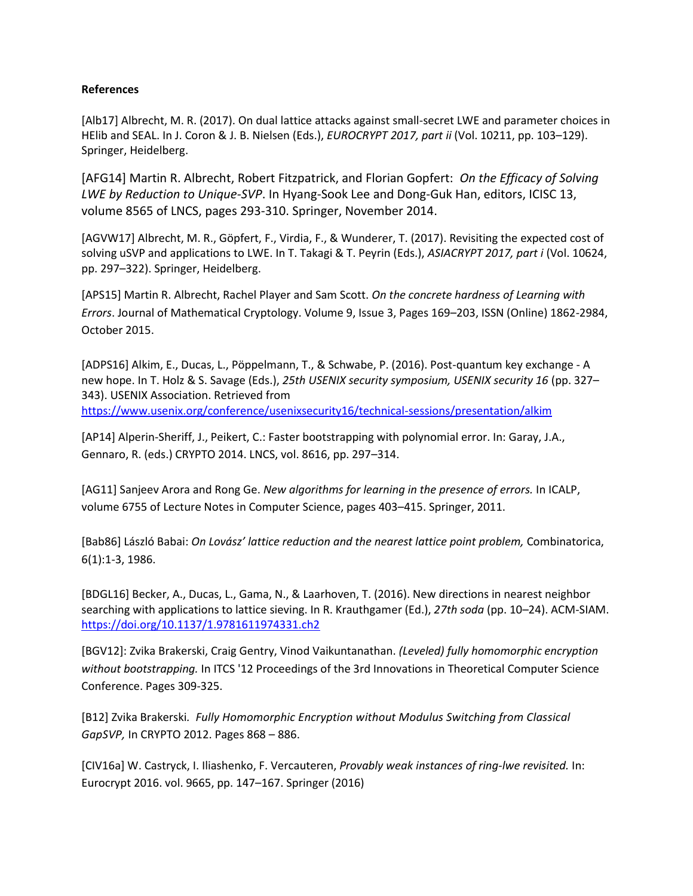#### **References**

[Alb17] Albrecht, M. R. (2017). On dual lattice attacks against small-secret LWE and parameter choices in HElib and SEAL. In J. Coron & J. B. Nielsen (Eds.), *EUROCRYPT 2017, part ii* (Vol. 10211, pp. 103–129). Springer, Heidelberg.

[AFG14] Martin R. Albrecht, Robert Fitzpatrick, and Florian Gopfert: *On the Efficacy of Solving LWE by Reduction to Unique-SVP*. In Hyang-Sook Lee and Dong-Guk Han, editors, ICISC 13, volume 8565 of LNCS, pages 293-310. Springer, November 2014.

[AGVW17] Albrecht, M. R., Göpfert, F., Virdia, F., & Wunderer, T. (2017). Revisiting the expected cost of solving uSVP and applications to LWE. In T. Takagi & T. Peyrin (Eds.), *ASIACRYPT 2017, part i* (Vol. 10624, pp. 297–322). Springer, Heidelberg.

[APS15] Martin R. Albrecht, Rachel Player and Sam Scott. *On the concrete hardness of Learning with Errors*. Journal of Mathematical Cryptology. Volume 9, Issue 3, Pages 169–203, ISSN (Online) 1862-2984, October 2015.

[ADPS16] Alkim, E., Ducas, L., Pöppelmann, T., & Schwabe, P. (2016). Post-quantum key exchange - A new hope. In T. Holz & S. Savage (Eds.), *25th USENIX security symposium, USENIX security 16* (pp. 327– 343). USENIX Association. Retrieved from <https://www.usenix.org/conference/usenixsecurity16/technical-sessions/presentation/alkim>

[AP14] Alperin-Sheriff, J., Peikert, C.: Faster bootstrapping with polynomial error. In: Garay, J.A., Gennaro, R. (eds.) CRYPTO 2014. LNCS, vol. 8616, pp. 297–314.

[AG11] Sanjeev Arora and Rong Ge. *New algorithms for learning in the presence of errors.* In ICALP, volume 6755 of Lecture Notes in Computer Science, pages 403–415. Springer, 2011.

[Bab86] László Babai: *On Lovász' lattice reduction and the nearest lattice point problem,* Combinatorica, 6(1):1-3, 1986.

[BDGL16] Becker, A., Ducas, L., Gama, N., & Laarhoven, T. (2016). New directions in nearest neighbor searching with applications to lattice sieving. In R. Krauthgamer (Ed.), *27th soda* (pp. 10–24). ACM-SIAM. <https://doi.org/10.1137/1.9781611974331.ch2>

[BGV12]: Zvika Brakerski, Craig Gentry[, Vinod Vaikuntanathan.](http://dl.acm.org/author_page.cfm?id=81322508192&coll=DL&dl=ACM&trk=0&cfid=790587702&cftoken=47193319) *(Leveled) fully homomorphic encryption without bootstrapping.* I[n ITCS '12](http://research.microsoft.com/en-us/um/newengland/events/ITCS2012/) Proceedings of the 3rd Innovations in Theoretical Computer Science Conference. Pages 309-325.

[B12] Zvika Brakerski*. Fully Homomorphic Encryption without Modulus Switching from Classical GapSVP,* In CRYPTO 2012. Pages 868 – 886.

[CIV16a] W. Castryck, I. Iliashenko, F. Vercauteren, *Provably weak instances of ring-lwe revisited.* In: Eurocrypt 2016. vol. 9665, pp. 147–167. Springer (2016)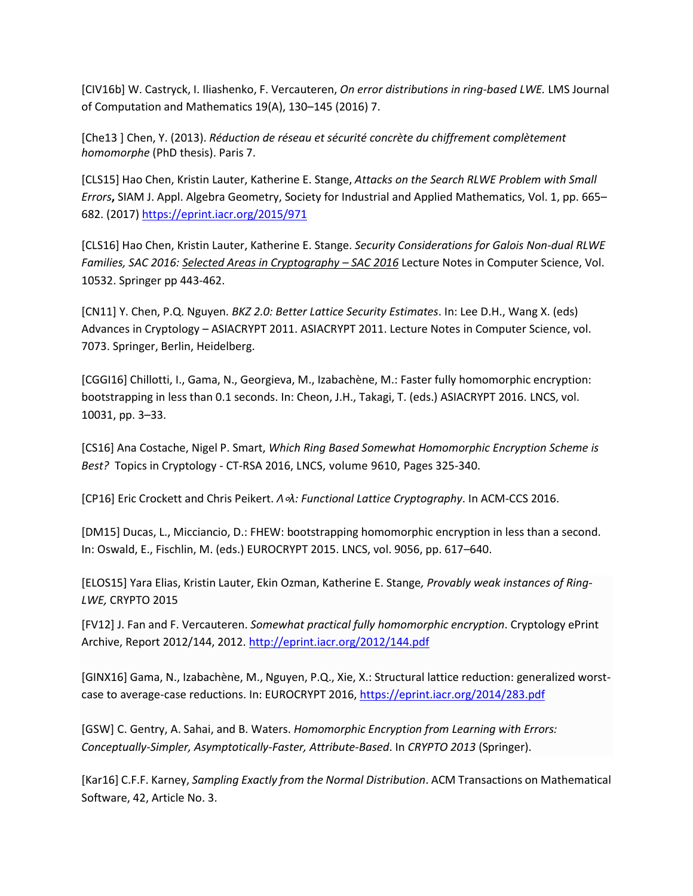[CIV16b] W. Castryck, I. Iliashenko, F. Vercauteren, *On error distributions in ring-based LWE.* LMS Journal of Computation and Mathematics 19(A), 130–145 (2016) 7.

[Che13 ] Chen, Y. (2013). *Réduction de réseau et sécurité concrète du chiffrement complètement homomorphe* (PhD thesis). Paris 7.

[CLS15] Hao Chen, Kristin Lauter, Katherine E. Stange, *Attacks on the Search RLWE Problem with Small Errors***,** SIAM J. Appl. Algebra Geometry, Society for Industrial and Applied Mathematics, Vol. 1, pp. 665– 682. (2017) <https://eprint.iacr.org/2015/971>

[CLS16] Hao Chen, Kristin Lauter, Katherine E. Stange. *Security Considerations for Galois Non-dual RLWE Families, SAC 2016: [Selected Areas in Cryptography](https://link.springer.com/book/10.1007/978-3-319-69453-5) – SAC 2016* Lecture Notes in Computer Science, Vol. 10532. Springer pp 443-462.

[CN11] Y. Chen, P.Q. Nguyen. *BKZ 2.0: Better Lattice Security Estimates*. In: Lee D.H., Wang X. (eds) Advances in Cryptology – ASIACRYPT 2011. ASIACRYPT 2011. Lecture Notes in Computer Science, vol. 7073. Springer, Berlin, Heidelberg.

[CGGI16] Chillotti, I., Gama, N., Georgieva, M., Izabachène, M.: Faster fully homomorphic encryption: bootstrapping in less than 0.1 seconds. In: Cheon, J.H., Takagi, T. (eds.) ASIACRYPT 2016. LNCS, vol. 10031, pp. 3–33.

[CS16] Ana Costache, Nigel P. Smart, *Which Ring Based Somewhat Homomorphic Encryption Scheme is Best?* Topics in Cryptology - CT-RSA 2016, LNCS, volume 9610, Pages 325-340.

[CP16] Eric Crockett and Chris Peikert. *Λ*∘*λ: Functional Lattice Cryptography*. In ACM-CCS 2016.

[DM15] Ducas, L., Micciancio, D.: FHEW: bootstrapping homomorphic encryption in less than a second. In: Oswald, E., Fischlin, M. (eds.) EUROCRYPT 2015. LNCS, vol. 9056, pp. 617–640.

[ELOS15] Yara Elias, Kristin Lauter, Ekin Ozman, Katherine E. Stange*, Provably weak instances of Ring-LWE,* CRYPTO 2015

[FV12] J. Fan and F. Vercauteren. *Somewhat practical fully homomorphic encryption*. Cryptology ePrint Archive, Report 2012/144, 2012.<http://eprint.iacr.org/2012/144.pdf>

[GINX16] Gama, N., Izabachène, M., Nguyen, P.Q., Xie, X.: Structural lattice reduction: generalized worstcase to average-case reductions. In: EUROCRYPT 2016,<https://eprint.iacr.org/2014/283.pdf>

[GSW] C. Gentry, A. Sahai, and B. Waters. *Homomorphic Encryption from Learning with Errors: Conceptually-Simpler, Asymptotically-Faster, Attribute-Based*. In *CRYPTO 2013* (Springer).

[Kar16] C.F.F. Karney, *Sampling Exactly from the Normal Distribution*. ACM Transactions on Mathematical Software, 42, Article No. 3.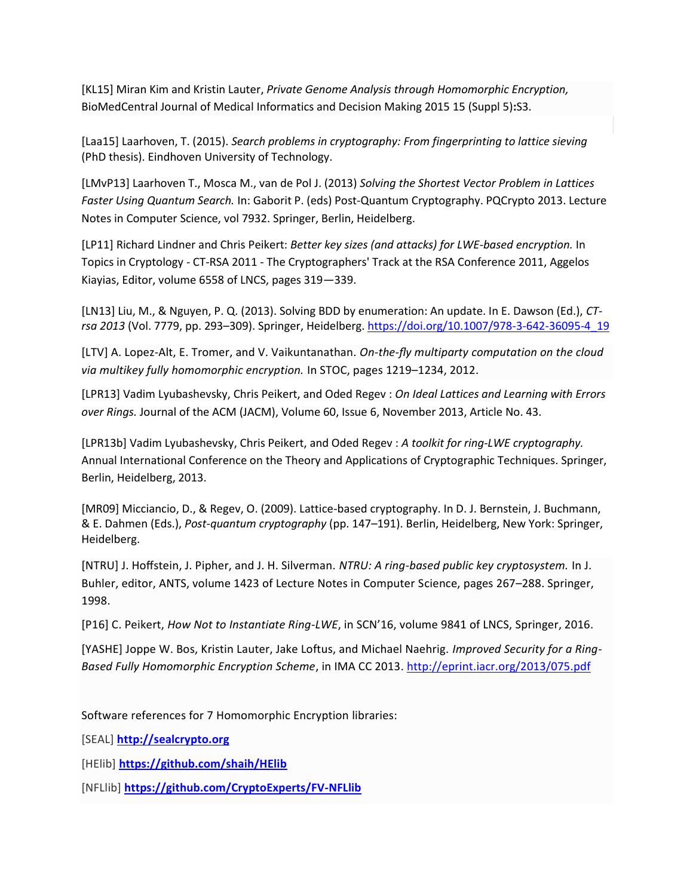[KL15] Miran Kim and Kristin Lauter, *Private Genome Analysis through Homomorphic Encryption,* BioMedCentral Journal of Medical Informatics and Decision Making 2015 15 (Suppl 5)**:**S3.

[Laa15] Laarhoven, T. (2015). *Search problems in cryptography: From fingerprinting to lattice sieving* (PhD thesis). Eindhoven University of Technology.

[LMvP13] Laarhoven T., Mosca M., van de Pol J. (2013) *Solving the Shortest Vector Problem in Lattices Faster Using Quantum Search.* In: Gaborit P. (eds) Post-Quantum Cryptography. PQCrypto 2013. Lecture Notes in Computer Science, vol 7932. Springer, Berlin, Heidelberg.

[LP11] Richard Lindner and Chris Peikert: *Better key sizes (and attacks) for LWE-based encryption.* In Topics in Cryptology - CT-RSA 2011 - The Cryptographers' Track at the RSA Conference 2011, Aggelos Kiayias, Editor, volume 6558 of LNCS, pages 319—339.

[LN13] Liu, M., & Nguyen, P. Q. (2013). Solving BDD by enumeration: An update. In E. Dawson (Ed.), *CTrsa 2013* (Vol. 7779, pp. 293–309). Springer, Heidelberg. [https://doi.org/10.1007/978-3-642-36095-4\\_19](https://doi.org/10.1007/978-3-642-36095-4_19)

[LTV] A. Lopez-Alt, E. Tromer, and V. Vaikuntanathan. *On-the-fly multiparty computation on the cloud via multikey fully homomorphic encryption.* In STOC, pages 1219–1234, 2012.

[LPR13] Vadim Lyubashevsky, Chris Peikert, and Oded Regev : *On Ideal Lattices and Learning with Errors over Rings.* Journal of the ACM (JACM), Volume 60, Issue 6, November 2013, Article No. 43.

[LPR13b] Vadim Lyubashevsky, Chris Peikert, and Oded Regev : *A toolkit for ring-LWE cryptography.* Annual International Conference on the Theory and Applications of Cryptographic Techniques. Springer, Berlin, Heidelberg, 2013.

[MR09] Micciancio, D., & Regev, O. (2009). Lattice-based cryptography. In D. J. Bernstein, J. Buchmann, & E. Dahmen (Eds.), *Post-quantum cryptography* (pp. 147–191). Berlin, Heidelberg, New York: Springer, Heidelberg.

[NTRU] J. Hoffstein, J. Pipher, and J. H. Silverman. *NTRU: A ring-based public key cryptosystem.* In J. Buhler, editor, ANTS, volume 1423 of Lecture Notes in Computer Science, pages 267–288. Springer, 1998.

[P16] C. Peikert, *How Not to Instantiate Ring-LWE*, in SCN'16, volume 9841 of LNCS, Springer, 2016.

[YASHE] Joppe W. Bos, Kristin Lauter, Jake Loftus, and Michael Naehrig. *Improved Security for a Ring-Based Fully Homomorphic Encryption Scheme*, in IMA CC 2013. <http://eprint.iacr.org/2013/075.pdf>

Software references for 7 Homomorphic Encryption libraries:

[SEAL] **[http://sealcrypto.org](http://sealcrypto.org/)**

[HElib] **<https://github.com/shaih/HElib>**

[NFLlib] **<https://github.com/CryptoExperts/FV-NFLlib>**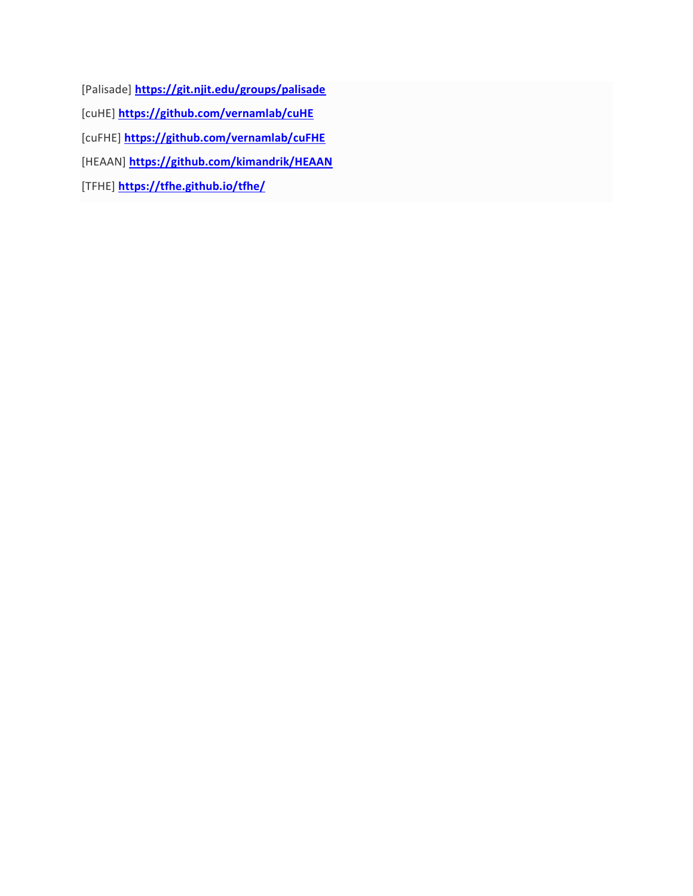[Palisade] **<https://git.njit.edu/groups/palisade>** [cuHE] **<https://github.com/vernamlab/cuHE>** [cuFHE] **<https://github.com/vernamlab/cuFHE>** [HEAAN] **<https://github.com/kimandrik/HEAAN>** [TFHE] **[https://tfhe.github.io/tfhe/](https://na01.safelinks.protection.outlook.com/?url=https%3A%2F%2Ftfhe.github.io%2Ftfhe%2F&data=04%7C01%7Cklauter%40microsoft.com%7C3d67333e1fb849cf831808d589232bf8%7C72f988bf86f141af91ab2d7cd011db47%7C1%7C0%7C636565706514536661%7CUnknown%7CTWFpbGZsb3d8eyJWIjoiMC4wLjAwMDAiLCJQIjoiV2luMzIiLCJBTiI6Ik1haWwifQ%3D%3D%7C-1&sdata=Cv3k4Mx5oU7ppdTlY2TxyVlQauF5OzCHiauk%2BriADdM%3D&reserved=0)**